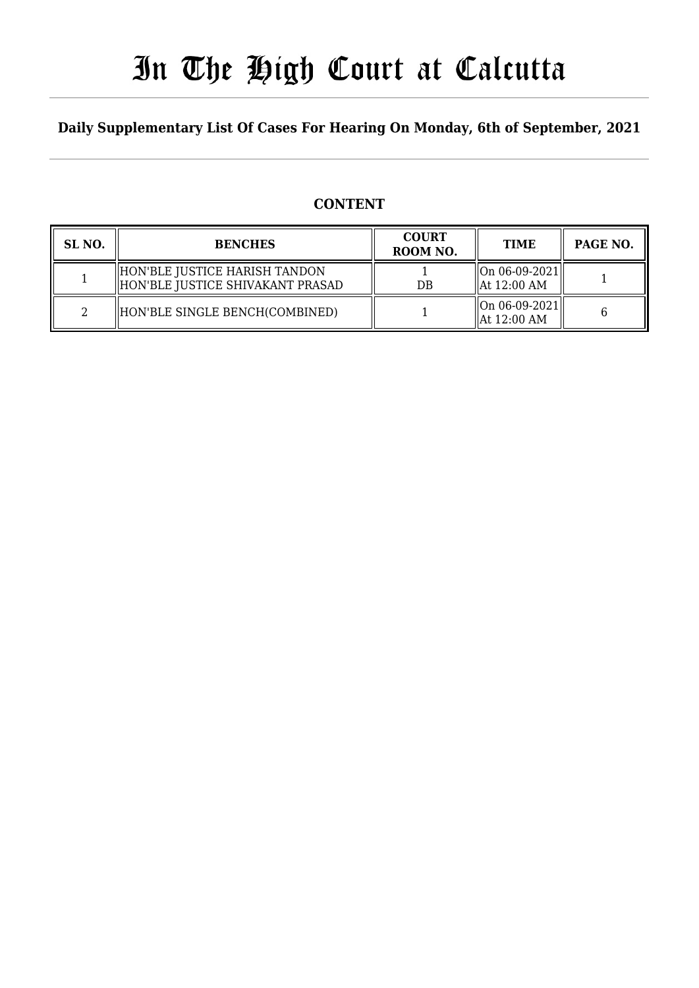# In The High Court at Calcutta

## **Daily Supplementary List Of Cases For Hearing On Monday, 6th of September, 2021**

## **CONTENT**

| SL <sub>NO</sub> . | <b>BENCHES</b>                                                      | <b>COURT</b><br>ROOM NO. | <b>TIME</b>                                        | PAGE NO. |
|--------------------|---------------------------------------------------------------------|--------------------------|----------------------------------------------------|----------|
|                    | HON'BLE JUSTICE HARISH TANDON<br>  HON'BLE JUSTICE SHIVAKANT PRASAD | $DB$                     | $\ $ On 06-09-2021 $\ $<br>$\parallel$ At 12:00 AM |          |
|                    | HON'BLE SINGLE BENCH(COMBINED)                                      |                          | On 06-09-2021  <br>  At 12:00 AM                   |          |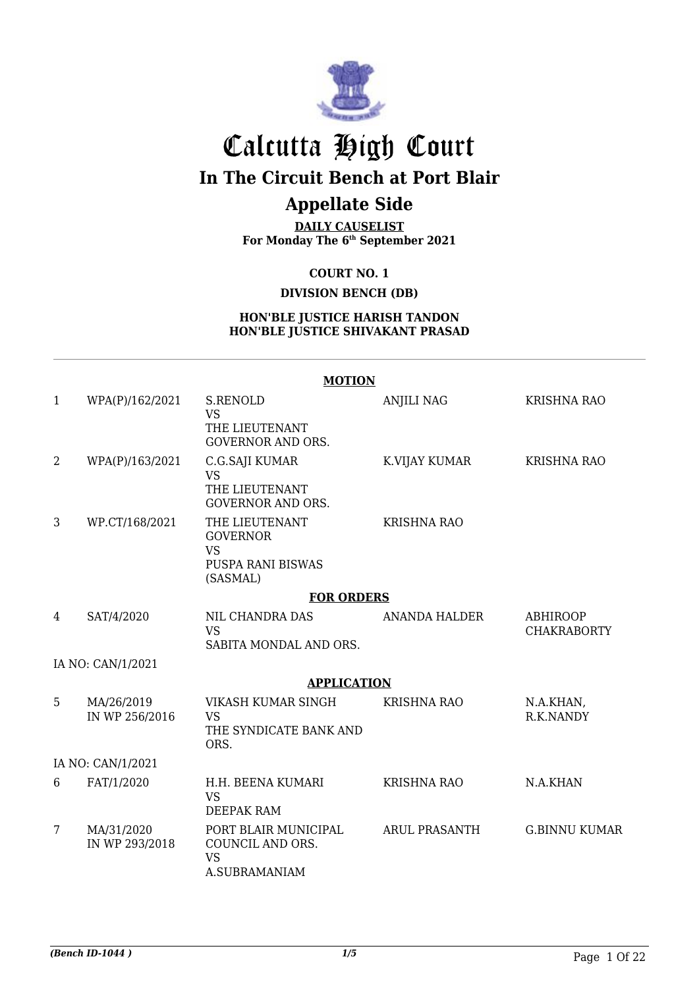

# Calcutta High Court

## **In The Circuit Bench at Port Blair**

## **Appellate Side**

**DAILY CAUSELIST For Monday The 6th September 2021**

**COURT NO. 1**

**DIVISION BENCH (DB)**

#### **HON'BLE JUSTICE HARISH TANDON HON'BLE JUSTICE SHIVAKANT PRASAD**

|                |                              | <b>MOTION</b>                                                          |                      |                                       |
|----------------|------------------------------|------------------------------------------------------------------------|----------------------|---------------------------------------|
| 1              | WPA(P)/162/2021              | <b>S.RENOLD</b><br><b>VS</b>                                           | <b>ANJILI NAG</b>    | <b>KRISHNA RAO</b>                    |
|                |                              | THE LIEUTENANT<br><b>GOVERNOR AND ORS.</b>                             |                      |                                       |
| $\overline{2}$ | WPA(P)/163/2021              | C.G.SAJI KUMAR<br><b>VS</b>                                            | K.VIJAY KUMAR        | <b>KRISHNA RAO</b>                    |
|                |                              | THE LIEUTENANT<br><b>GOVERNOR AND ORS.</b>                             |                      |                                       |
| 3              | WP.CT/168/2021               | THE LIEUTENANT<br><b>GOVERNOR</b><br><b>VS</b>                         | <b>KRISHNA RAO</b>   |                                       |
|                |                              | <b>PUSPA RANI BISWAS</b><br>(SASMAL)                                   |                      |                                       |
|                |                              | <b>FOR ORDERS</b>                                                      |                      |                                       |
| 4              | SAT/4/2020                   | NIL CHANDRA DAS<br><b>VS</b>                                           | <b>ANANDA HALDER</b> | <b>ABHIROOP</b><br><b>CHAKRABORTY</b> |
|                |                              | SABITA MONDAL AND ORS.                                                 |                      |                                       |
|                | IA NO: CAN/1/2021            |                                                                        |                      |                                       |
|                |                              | <b>APPLICATION</b>                                                     |                      |                                       |
| 5              | MA/26/2019<br>IN WP 256/2016 | VIKASH KUMAR SINGH<br><b>VS</b>                                        | <b>KRISHNA RAO</b>   | N.A.KHAN,<br>R.K.NANDY                |
|                |                              | THE SYNDICATE BANK AND<br>ORS.                                         |                      |                                       |
|                | IA NO: CAN/1/2021            |                                                                        |                      |                                       |
| 6              | FAT/1/2020                   | H.H. BEENA KUMARI<br><b>VS</b><br><b>DEEPAK RAM</b>                    | <b>KRISHNA RAO</b>   | N.A.KHAN                              |
| 7              | MA/31/2020<br>IN WP 293/2018 | PORT BLAIR MUNICIPAL<br>COUNCIL AND ORS.<br><b>VS</b><br>A.SUBRAMANIAM | ARUL PRASANTH        | <b>G.BINNU KUMAR</b>                  |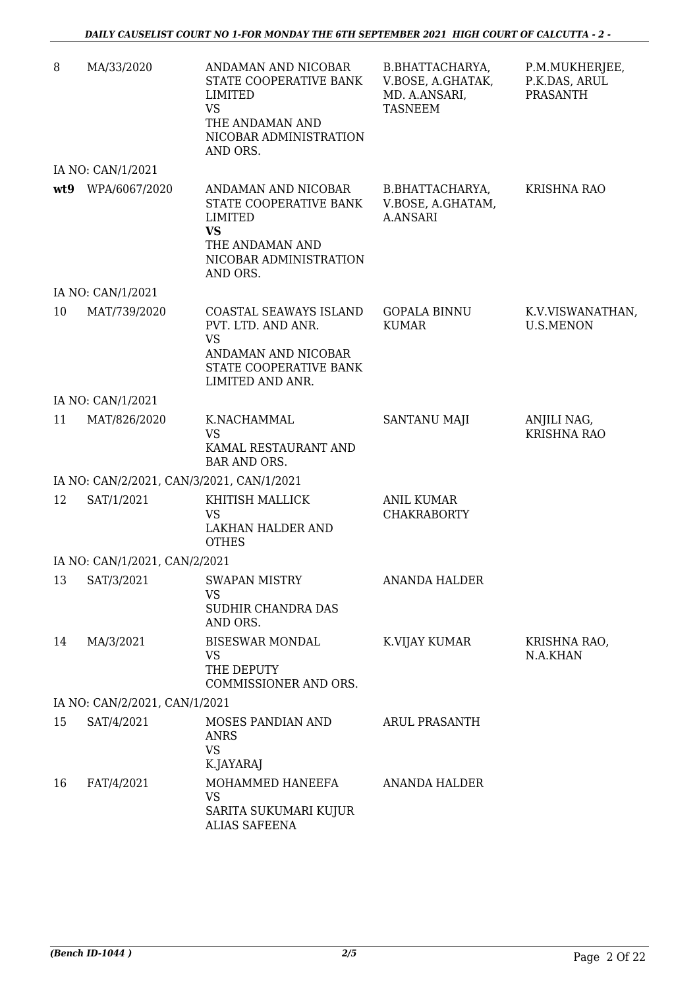| 8   | MA/33/2020                    | ANDAMAN AND NICOBAR<br>STATE COOPERATIVE BANK<br>LIMITED<br><b>VS</b><br>THE ANDAMAN AND<br>NICOBAR ADMINISTRATION<br>AND ORS. | B.BHATTACHARYA,<br>V.BOSE, A.GHATAK,<br>MD. A.ANSARI,<br><b>TASNEEM</b> | P.M.MUKHERJEE,<br>P.K.DAS, ARUL<br>PRASANTH |
|-----|-------------------------------|--------------------------------------------------------------------------------------------------------------------------------|-------------------------------------------------------------------------|---------------------------------------------|
|     | IA NO: CAN/1/2021             |                                                                                                                                |                                                                         |                                             |
| wt9 | WPA/6067/2020                 | ANDAMAN AND NICOBAR<br>STATE COOPERATIVE BANK<br>LIMITED<br><b>VS</b><br>THE ANDAMAN AND<br>NICOBAR ADMINISTRATION<br>AND ORS. | B.BHATTACHARYA,<br>V.BOSE, A.GHATAM,<br><b>A.ANSARI</b>                 | <b>KRISHNA RAO</b>                          |
|     | IA NO: CAN/1/2021             |                                                                                                                                |                                                                         |                                             |
| 10  | MAT/739/2020                  | COASTAL SEAWAYS ISLAND<br>PVT. LTD. AND ANR.<br><b>VS</b><br>ANDAMAN AND NICOBAR<br>STATE COOPERATIVE BANK<br>LIMITED AND ANR. | <b>GOPALA BINNU</b><br><b>KUMAR</b>                                     | K.V.VISWANATHAN,<br><b>U.S.MENON</b>        |
|     | IA NO: CAN/1/2021             |                                                                                                                                |                                                                         |                                             |
| 11  | MAT/826/2020                  | K.NACHAMMAL<br><b>VS</b><br>KAMAL RESTAURANT AND<br><b>BAR AND ORS.</b>                                                        | SANTANU MAJI                                                            | ANJILI NAG,<br><b>KRISHNA RAO</b>           |
|     |                               | IA NO: CAN/2/2021, CAN/3/2021, CAN/1/2021                                                                                      |                                                                         |                                             |
| 12  | SAT/1/2021                    | KHITISH MALLICK<br><b>VS</b><br>LAKHAN HALDER AND<br><b>OTHES</b>                                                              | ANIL KUMAR<br><b>CHAKRABORTY</b>                                        |                                             |
|     | IA NO: CAN/1/2021, CAN/2/2021 |                                                                                                                                |                                                                         |                                             |
|     | 13 SAT/3/2021                 | SWAPAN MISTRY<br><b>VS</b><br>SUDHIR CHANDRA DAS<br>AND ORS.                                                                   | ANANDA HALDER                                                           |                                             |
| 14  | MA/3/2021                     | <b>BISESWAR MONDAL</b><br><b>VS</b><br>THE DEPUTY<br>COMMISSIONER AND ORS.                                                     | K.VIJAY KUMAR                                                           | KRISHNA RAO,<br>N.A.KHAN                    |
|     | IA NO: CAN/2/2021, CAN/1/2021 |                                                                                                                                |                                                                         |                                             |
| 15  | SAT/4/2021                    | MOSES PANDIAN AND<br><b>ANRS</b><br><b>VS</b><br>K.JAYARAJ                                                                     | <b>ARUL PRASANTH</b>                                                    |                                             |
| 16  | FAT/4/2021                    | MOHAMMED HANEEFA<br><b>VS</b><br>SARITA SUKUMARI KUJUR<br><b>ALIAS SAFEENA</b>                                                 | <b>ANANDA HALDER</b>                                                    |                                             |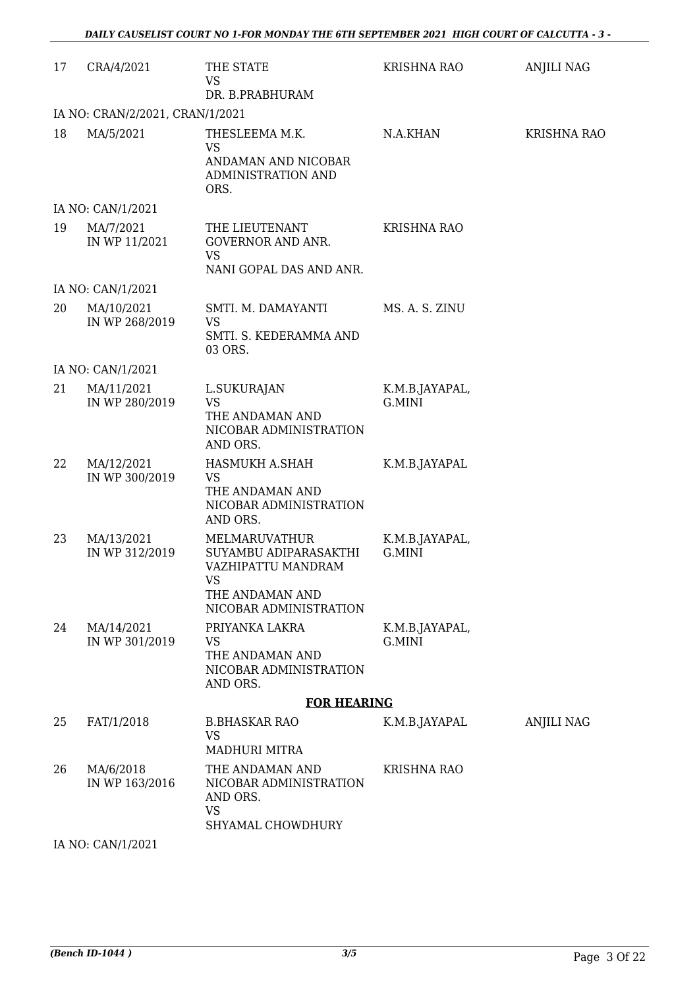| 17 | CRA/4/2021                      | THE STATE<br><b>VS</b>                                                                                          | KRISHNA RAO              | <b>ANJILI NAG</b>  |
|----|---------------------------------|-----------------------------------------------------------------------------------------------------------------|--------------------------|--------------------|
|    | IA NO: CRAN/2/2021, CRAN/1/2021 | DR. B.PRABHURAM                                                                                                 |                          |                    |
| 18 | MA/5/2021                       | THESLEEMA M.K.<br><b>VS</b><br>ANDAMAN AND NICOBAR<br>ADMINISTRATION AND<br>ORS.                                | N.A.KHAN                 | <b>KRISHNA RAO</b> |
|    | IA NO: CAN/1/2021               |                                                                                                                 |                          |                    |
| 19 | MA/7/2021<br>IN WP 11/2021      | THE LIEUTENANT<br><b>GOVERNOR AND ANR.</b><br><b>VS</b><br>NANI GOPAL DAS AND ANR.                              | KRISHNA RAO              |                    |
|    | IA NO: CAN/1/2021               |                                                                                                                 |                          |                    |
| 20 | MA/10/2021<br>IN WP 268/2019    | SMTI. M. DAMAYANTI<br>VS<br>SMTI. S. KEDERAMMA AND<br>03 ORS.                                                   | MS. A. S. ZINU           |                    |
|    | IA NO: CAN/1/2021               |                                                                                                                 |                          |                    |
| 21 | MA/11/2021<br>IN WP 280/2019    | L.SUKURAJAN<br><b>VS</b><br>THE ANDAMAN AND<br>NICOBAR ADMINISTRATION<br>AND ORS.                               | K.M.B.JAYAPAL,<br>G.MINI |                    |
| 22 | MA/12/2021<br>IN WP 300/2019    | HASMUKH A.SHAH<br><b>VS</b><br>THE ANDAMAN AND<br>NICOBAR ADMINISTRATION<br>AND ORS.                            | K.M.B.JAYAPAL            |                    |
| 23 | MA/13/2021<br>IN WP 312/2019    | MELMARUVATHUR<br>SUYAMBU ADIPARASAKTHI<br>VAZHIPATTU MANDRAM<br>VS<br>THE ANDAMAN AND<br>NICOBAR ADMINISTRATION | K.M.B.JAYAPAL,<br>G.MINI |                    |
| 24 | MA/14/2021<br>IN WP 301/2019    | PRIYANKA LAKRA<br><b>VS</b><br>THE ANDAMAN AND<br>NICOBAR ADMINISTRATION<br>AND ORS.                            | K.M.B.JAYAPAL,<br>G.MINI |                    |
|    |                                 | <b>FOR HEARING</b>                                                                                              |                          |                    |
| 25 | FAT/1/2018                      | <b>B.BHASKAR RAO</b><br><b>VS</b><br><b>MADHURI MITRA</b>                                                       | K.M.B.JAYAPAL            | <b>ANJILI NAG</b>  |
| 26 | MA/6/2018<br>IN WP 163/2016     | THE ANDAMAN AND<br>NICOBAR ADMINISTRATION<br>AND ORS.<br><b>VS</b><br>SHYAMAL CHOWDHURY                         | <b>KRISHNA RAO</b>       |                    |
|    | IA NO: CAN/1/2021               |                                                                                                                 |                          |                    |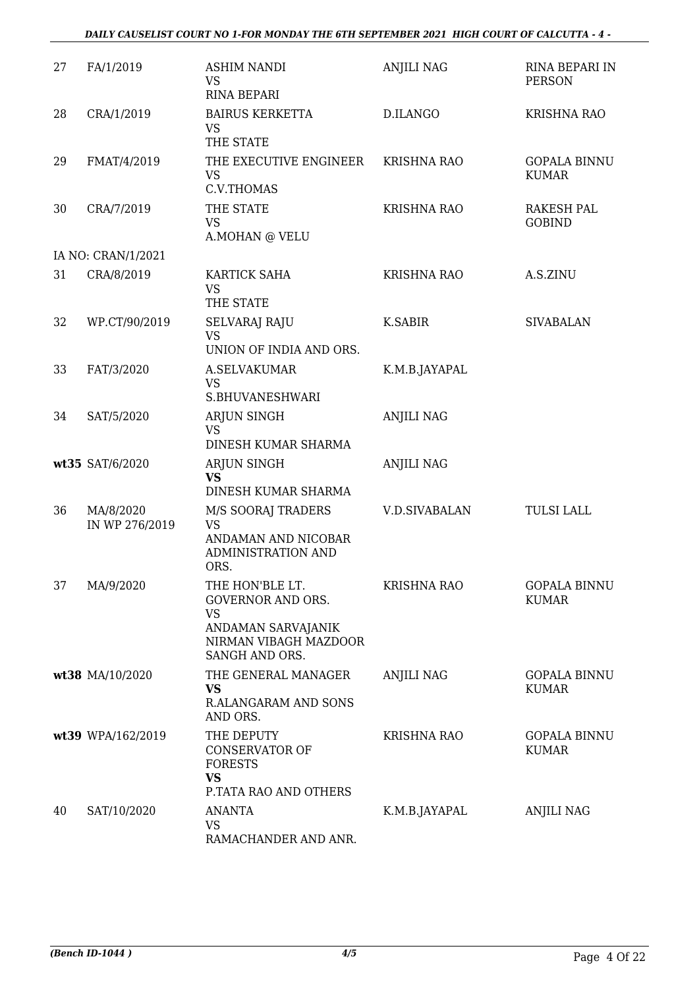| 27 | FA/1/2019                   | <b>ASHIM NANDI</b><br><b>VS</b><br><b>RINA BEPARI</b>                                                                     | <b>ANJILI NAG</b>    | RINA BEPARI IN<br><b>PERSON</b>     |
|----|-----------------------------|---------------------------------------------------------------------------------------------------------------------------|----------------------|-------------------------------------|
| 28 | CRA/1/2019                  | <b>BAIRUS KERKETTA</b><br><b>VS</b><br>THE STATE                                                                          | D.ILANGO             | <b>KRISHNA RAO</b>                  |
| 29 | FMAT/4/2019                 | THE EXECUTIVE ENGINEER<br><b>VS</b><br>C.V.THOMAS                                                                         | <b>KRISHNA RAO</b>   | <b>GOPALA BINNU</b><br><b>KUMAR</b> |
| 30 | CRA/7/2019                  | THE STATE<br><b>VS</b><br>A.MOHAN @ VELU                                                                                  | <b>KRISHNA RAO</b>   | RAKESH PAL<br><b>GOBIND</b>         |
|    | IA NO: CRAN/1/2021          |                                                                                                                           |                      |                                     |
| 31 | CRA/8/2019                  | KARTICK SAHA<br><b>VS</b><br>THE STATE                                                                                    | <b>KRISHNA RAO</b>   | A.S.ZINU                            |
| 32 | WP.CT/90/2019               | SELVARAJ RAJU<br><b>VS</b><br>UNION OF INDIA AND ORS.                                                                     | K.SABIR              | <b>SIVABALAN</b>                    |
| 33 | FAT/3/2020                  | A.SELVAKUMAR<br><b>VS</b><br>S.BHUVANESHWARI                                                                              | K.M.B.JAYAPAL        |                                     |
| 34 | SAT/5/2020                  | ARJUN SINGH<br><b>VS</b><br>DINESH KUMAR SHARMA                                                                           | <b>ANJILI NAG</b>    |                                     |
|    | wt35 SAT/6/2020             | ARJUN SINGH<br><b>VS</b><br>DINESH KUMAR SHARMA                                                                           | <b>ANJILI NAG</b>    |                                     |
| 36 | MA/8/2020<br>IN WP 276/2019 | M/S SOORAJ TRADERS<br><b>VS</b><br>ANDAMAN AND NICOBAR<br>ADMINISTRATION AND<br>ORS.                                      | <b>V.D.SIVABALAN</b> | <b>TULSI LALL</b>                   |
| 37 | MA/9/2020                   | THE HON'BLE LT.<br><b>GOVERNOR AND ORS.</b><br><b>VS</b><br>ANDAMAN SARVAJANIK<br>NIRMAN VIBAGH MAZDOOR<br>SANGH AND ORS. | <b>KRISHNA RAO</b>   | <b>GOPALA BINNU</b><br><b>KUMAR</b> |
|    | wt38 MA/10/2020             | THE GENERAL MANAGER<br><b>VS</b><br><b>R.ALANGARAM AND SONS</b><br>AND ORS.                                               | ANJILI NAG           | <b>GOPALA BINNU</b><br><b>KUMAR</b> |
|    | wt39 WPA/162/2019           | THE DEPUTY<br><b>CONSERVATOR OF</b><br><b>FORESTS</b><br><b>VS</b>                                                        | KRISHNA RAO          | <b>GOPALA BINNU</b><br><b>KUMAR</b> |
| 40 | SAT/10/2020                 | P.TATA RAO AND OTHERS<br><b>ANANTA</b><br><b>VS</b><br>RAMACHANDER AND ANR.                                               | K.M.B.JAYAPAL        | ANJILI NAG                          |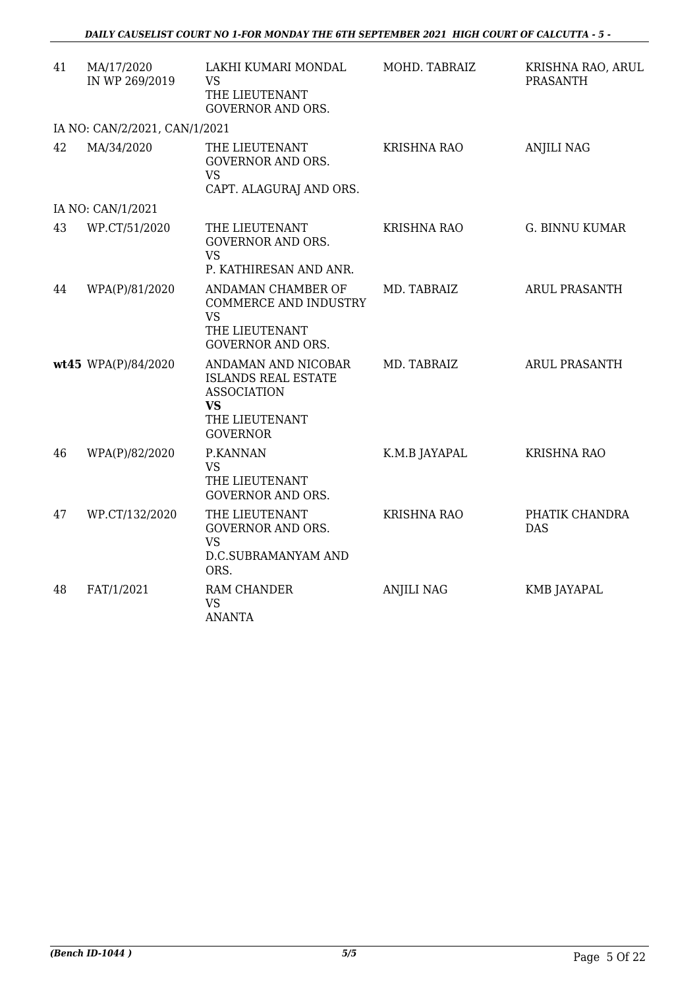| 41 | MA/17/2020<br>IN WP 269/2019  | LAKHI KUMARI MONDAL<br><b>VS</b><br>THE LIEUTENANT<br><b>GOVERNOR AND ORS.</b>                                     | MOHD. TABRAIZ      | KRISHNA RAO, ARUL<br><b>PRASANTH</b> |
|----|-------------------------------|--------------------------------------------------------------------------------------------------------------------|--------------------|--------------------------------------|
|    | IA NO: CAN/2/2021, CAN/1/2021 |                                                                                                                    |                    |                                      |
| 42 | MA/34/2020                    | THE LIEUTENANT<br><b>GOVERNOR AND ORS.</b><br><b>VS</b><br>CAPT. ALAGURAJ AND ORS.                                 | <b>KRISHNA RAO</b> | <b>ANJILI NAG</b>                    |
|    | IA NO: CAN/1/2021             |                                                                                                                    |                    |                                      |
| 43 | WP.CT/51/2020                 | THE LIEUTENANT<br><b>GOVERNOR AND ORS.</b><br><b>VS</b><br>P. KATHIRESAN AND ANR.                                  | <b>KRISHNA RAO</b> | <b>G. BINNU KUMAR</b>                |
| 44 | WPA(P)/81/2020                | ANDAMAN CHAMBER OF<br>COMMERCE AND INDUSTRY<br><b>VS</b><br>THE LIEUTENANT<br><b>GOVERNOR AND ORS.</b>             | MD. TABRAIZ        | <b>ARUL PRASANTH</b>                 |
|    | wt45 WPA(P)/84/2020           | ANDAMAN AND NICOBAR<br><b>ISLANDS REAL ESTATE</b><br><b>ASSOCIATION</b><br>VS<br>THE LIEUTENANT<br><b>GOVERNOR</b> | MD. TABRAIZ        | <b>ARUL PRASANTH</b>                 |
| 46 | WPA(P)/82/2020                | P.KANNAN<br><b>VS</b><br>THE LIEUTENANT<br><b>GOVERNOR AND ORS.</b>                                                | K.M.B JAYAPAL      | <b>KRISHNA RAO</b>                   |
| 47 | WP.CT/132/2020                | THE LIEUTENANT<br><b>GOVERNOR AND ORS.</b><br><b>VS</b><br>D.C.SUBRAMANYAM AND<br>ORS.                             | KRISHNA RAO        | PHATIK CHANDRA<br><b>DAS</b>         |
| 48 | FAT/1/2021                    | <b>RAM CHANDER</b><br><b>VS</b><br><b>ANANTA</b>                                                                   | <b>ANJILI NAG</b>  | <b>KMB JAYAPAL</b>                   |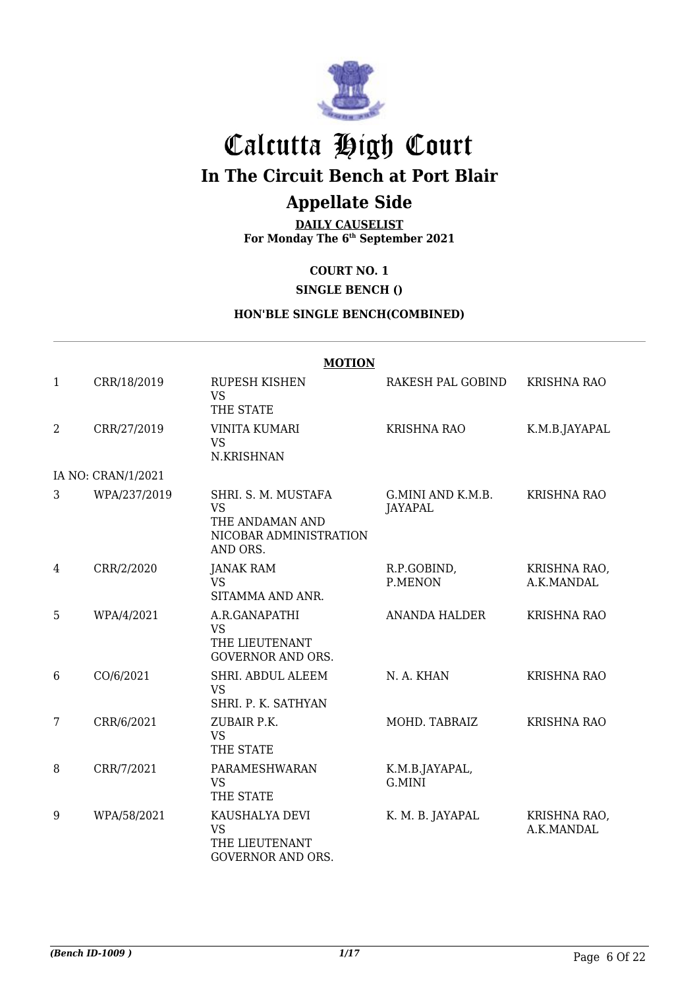

## Calcutta High Court

**In The Circuit Bench at Port Blair**

## **Appellate Side**

**DAILY CAUSELIST For Monday The 6th September 2021**

#### **COURT NO. 1**

**SINGLE BENCH ()**

#### **HON'BLE SINGLE BENCH(COMBINED)**

|                |                    | <b>MOTION</b>                                                                             |                              |                            |
|----------------|--------------------|-------------------------------------------------------------------------------------------|------------------------------|----------------------------|
| 1              | CRR/18/2019        | <b>RUPESH KISHEN</b><br><b>VS</b><br>THE STATE                                            | RAKESH PAL GOBIND            | <b>KRISHNA RAO</b>         |
| $\overline{2}$ | CRR/27/2019        | <b>VINITA KUMARI</b><br>VS.<br>N.KRISHNAN                                                 | <b>KRISHNA RAO</b>           | K.M.B.JAYAPAL              |
|                | IA NO: CRAN/1/2021 |                                                                                           |                              |                            |
| 3              | WPA/237/2019       | SHRI. S. M. MUSTAFA<br><b>VS</b><br>THE ANDAMAN AND<br>NICOBAR ADMINISTRATION<br>AND ORS. | G.MINI AND K.M.B.<br>JAYAPAL | <b>KRISHNA RAO</b>         |
| 4              | CRR/2/2020         | <b>JANAK RAM</b><br><b>VS</b><br>SITAMMA AND ANR.                                         | R.P.GOBIND,<br>P.MENON       | KRISHNA RAO,<br>A.K.MANDAL |
| 5              | WPA/4/2021         | A.R.GANAPATHI<br><b>VS</b><br>THE LIEUTENANT<br><b>GOVERNOR AND ORS.</b>                  | <b>ANANDA HALDER</b>         | <b>KRISHNA RAO</b>         |
| 6              | CO/6/2021          | SHRI. ABDUL ALEEM<br>VS<br>SHRI. P. K. SATHYAN                                            | N. A. KHAN                   | <b>KRISHNA RAO</b>         |
| 7              | CRR/6/2021         | ZUBAIR P.K.<br><b>VS</b><br>THE STATE                                                     | MOHD. TABRAIZ                | <b>KRISHNA RAO</b>         |
| 8              | CRR/7/2021         | PARAMESHWARAN<br><b>VS</b><br>THE STATE                                                   | K.M.B.JAYAPAL,<br>G.MINI     |                            |
| 9              | WPA/58/2021        | KAUSHALYA DEVI<br><b>VS</b><br>THE LIEUTENANT<br><b>GOVERNOR AND ORS.</b>                 | K. M. B. JAYAPAL             | KRISHNA RAO,<br>A.K.MANDAL |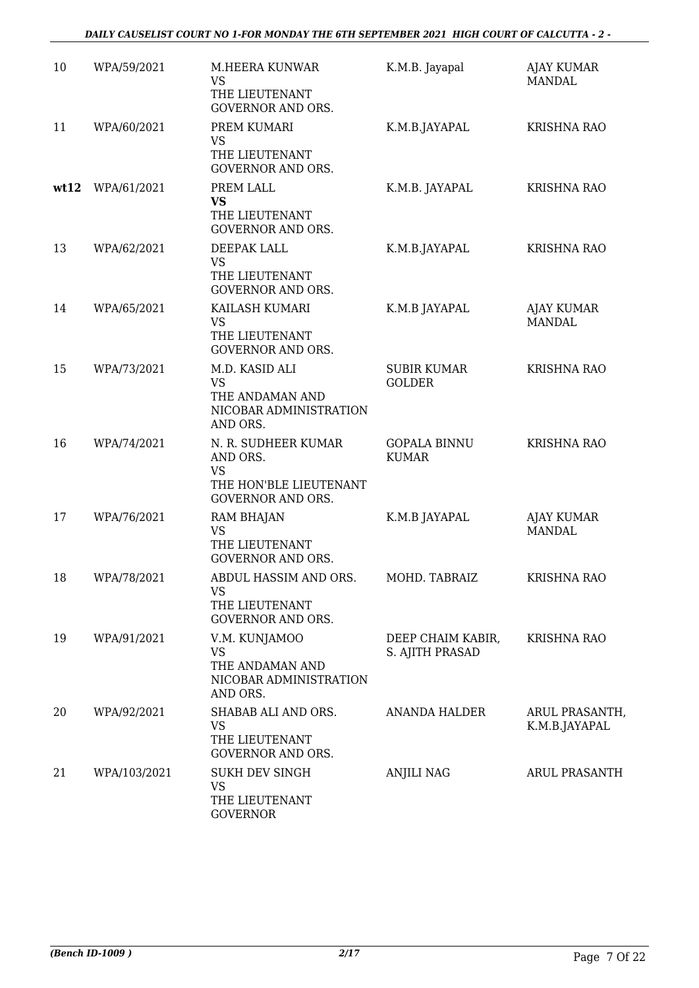| 10   | WPA/59/2021  | M.HEERA KUNWAR<br><b>VS</b>                                                         | K.M.B. Jayapal                       | <b>AJAY KUMAR</b><br><b>MANDAL</b> |
|------|--------------|-------------------------------------------------------------------------------------|--------------------------------------|------------------------------------|
|      |              | THE LIEUTENANT<br><b>GOVERNOR AND ORS.</b>                                          |                                      |                                    |
| 11   | WPA/60/2021  | PREM KUMARI<br><b>VS</b>                                                            | K.M.B.JAYAPAL                        | <b>KRISHNA RAO</b>                 |
|      |              | THE LIEUTENANT<br><b>GOVERNOR AND ORS.</b>                                          |                                      |                                    |
| wt12 | WPA/61/2021  | PREM LALL<br>VS                                                                     | K.M.B. JAYAPAL                       | <b>KRISHNA RAO</b>                 |
|      |              | THE LIEUTENANT<br><b>GOVERNOR AND ORS.</b>                                          |                                      |                                    |
| 13   | WPA/62/2021  | DEEPAK LALL<br><b>VS</b><br>THE LIEUTENANT<br><b>GOVERNOR AND ORS.</b>              | K.M.B.JAYAPAL                        | <b>KRISHNA RAO</b>                 |
| 14   | WPA/65/2021  | KAILASH KUMARI<br><b>VS</b><br>THE LIEUTENANT                                       | K.M.B JAYAPAL                        | <b>AJAY KUMAR</b><br><b>MANDAL</b> |
|      |              | <b>GOVERNOR AND ORS.</b>                                                            |                                      |                                    |
| 15   | WPA/73/2021  | M.D. KASID ALI<br><b>VS</b>                                                         | <b>SUBIR KUMAR</b><br><b>GOLDER</b>  | <b>KRISHNA RAO</b>                 |
|      |              | THE ANDAMAN AND<br>NICOBAR ADMINISTRATION<br>AND ORS.                               |                                      |                                    |
| 16   | WPA/74/2021  | N. R. SUDHEER KUMAR<br>AND ORS.<br><b>VS</b>                                        | <b>GOPALA BINNU</b><br><b>KUMAR</b>  | <b>KRISHNA RAO</b>                 |
|      |              | THE HON'BLE LIEUTENANT<br><b>GOVERNOR AND ORS.</b>                                  |                                      |                                    |
| 17   | WPA/76/2021  | <b>RAM BHAJAN</b><br><b>VS</b><br>THE LIEUTENANT<br><b>GOVERNOR AND ORS.</b>        | K.M.B JAYAPAL                        | <b>AJAY KUMAR</b><br><b>MANDAL</b> |
| 18   | WPA/78/2021  | ABDUL HASSIM AND ORS.                                                               | MOHD. TABRAIZ                        | <b>KRISHNA RAO</b>                 |
|      |              | <b>VS</b><br>THE LIEUTENANT<br><b>GOVERNOR AND ORS.</b>                             |                                      |                                    |
| 19   | WPA/91/2021  | V.M. KUNJAMOO<br><b>VS</b><br>THE ANDAMAN AND<br>NICOBAR ADMINISTRATION<br>AND ORS. | DEEP CHAIM KABIR,<br>S. AJITH PRASAD | <b>KRISHNA RAO</b>                 |
| 20   | WPA/92/2021  | SHABAB ALI AND ORS.<br><b>VS</b><br>THE LIEUTENANT<br><b>GOVERNOR AND ORS.</b>      | ANANDA HALDER                        | ARUL PRASANTH,<br>K.M.B.JAYAPAL    |
| 21   | WPA/103/2021 | <b>SUKH DEV SINGH</b><br>VS<br>THE LIEUTENANT<br><b>GOVERNOR</b>                    | <b>ANJILI NAG</b>                    | ARUL PRASANTH                      |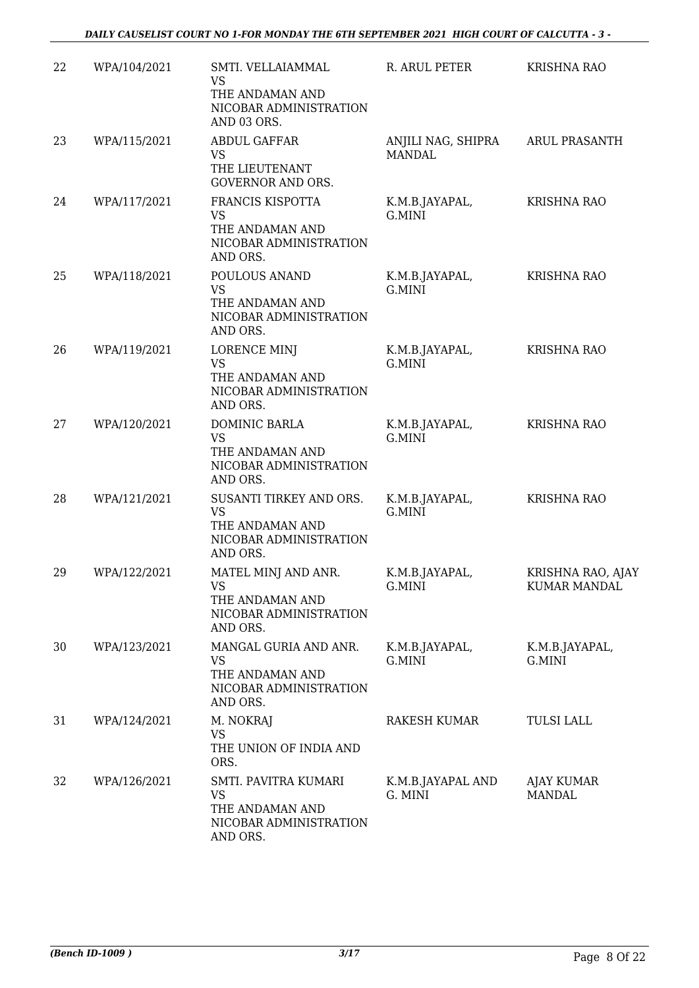| 22 | WPA/104/2021 | SMTI. VELLAIAMMAL<br>VS<br>THE ANDAMAN AND<br>NICOBAR ADMINISTRATION<br>AND 03 ORS.        | R. ARUL PETER                       | <b>KRISHNA RAO</b>                       |
|----|--------------|--------------------------------------------------------------------------------------------|-------------------------------------|------------------------------------------|
| 23 | WPA/115/2021 | <b>ABDUL GAFFAR</b><br><b>VS</b><br>THE LIEUTENANT<br><b>GOVERNOR AND ORS.</b>             | ANJILI NAG, SHIPRA<br><b>MANDAL</b> | ARUL PRASANTH                            |
| 24 | WPA/117/2021 | FRANCIS KISPOTTA<br>VS<br>THE ANDAMAN AND<br>NICOBAR ADMINISTRATION<br>AND ORS.            | K.M.B.JAYAPAL,<br>G.MINI            | <b>KRISHNA RAO</b>                       |
| 25 | WPA/118/2021 | POULOUS ANAND<br><b>VS</b><br>THE ANDAMAN AND<br>NICOBAR ADMINISTRATION<br>AND ORS.        | K.M.B.JAYAPAL,<br>G.MINI            | <b>KRISHNA RAO</b>                       |
| 26 | WPA/119/2021 | LORENCE MINJ<br><b>VS</b><br>THE ANDAMAN AND<br>NICOBAR ADMINISTRATION<br>AND ORS.         | K.M.B.JAYAPAL,<br>G.MINI            | <b>KRISHNA RAO</b>                       |
| 27 | WPA/120/2021 | DOMINIC BARLA<br><b>VS</b><br>THE ANDAMAN AND<br>NICOBAR ADMINISTRATION<br>AND ORS.        | K.M.B.JAYAPAL,<br>G.MINI            | <b>KRISHNA RAO</b>                       |
| 28 | WPA/121/2021 | SUSANTI TIRKEY AND ORS.<br>VS<br>THE ANDAMAN AND<br>NICOBAR ADMINISTRATION<br>AND ORS.     | K.M.B.JAYAPAL,<br>G.MINI            | <b>KRISHNA RAO</b>                       |
| 29 | WPA/122/2021 | MATEL MINJ AND ANR.<br><b>VS</b><br>THE ANDAMAN AND<br>NICOBAR ADMINISTRATION<br>AND ORS.  | K.M.B.JAYAPAL,<br>G.MINI            | KRISHNA RAO, AJAY<br><b>KUMAR MANDAL</b> |
| 30 | WPA/123/2021 | MANGAL GURIA AND ANR.<br>VS<br>THE ANDAMAN AND<br>NICOBAR ADMINISTRATION<br>AND ORS.       | K.M.B.JAYAPAL,<br>G.MINI            | K.M.B.JAYAPAL,<br>G.MINI                 |
| 31 | WPA/124/2021 | M. NOKRAJ<br><b>VS</b><br>THE UNION OF INDIA AND<br>ORS.                                   | RAKESH KUMAR                        | <b>TULSI LALL</b>                        |
| 32 | WPA/126/2021 | SMTI. PAVITRA KUMARI<br><b>VS</b><br>THE ANDAMAN AND<br>NICOBAR ADMINISTRATION<br>AND ORS. | K.M.B.JAYAPAL AND<br>G. MINI        | AJAY KUMAR<br>MANDAL                     |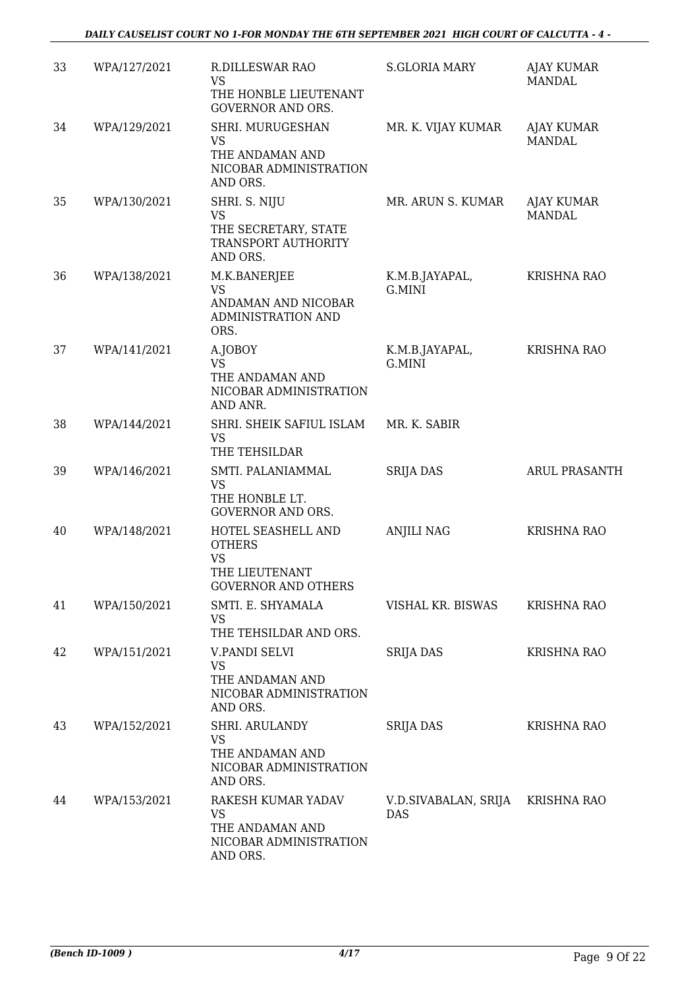| 33 | WPA/127/2021 | <b>R.DILLESWAR RAO</b><br><b>VS</b><br>THE HONBLE LIEUTENANT<br><b>GOVERNOR AND ORS.</b>         | <b>S.GLORIA MARY</b>               | <b>AJAY KUMAR</b><br><b>MANDAL</b> |
|----|--------------|--------------------------------------------------------------------------------------------------|------------------------------------|------------------------------------|
| 34 | WPA/129/2021 | SHRI. MURUGESHAN<br><b>VS</b><br>THE ANDAMAN AND<br>NICOBAR ADMINISTRATION<br>AND ORS.           | MR. K. VIJAY KUMAR                 | AJAY KUMAR<br><b>MANDAL</b>        |
| 35 | WPA/130/2021 | SHRI. S. NIJU<br>VS<br>THE SECRETARY, STATE<br>TRANSPORT AUTHORITY<br>AND ORS.                   | MR. ARUN S. KUMAR                  | AJAY KUMAR<br><b>MANDAL</b>        |
| 36 | WPA/138/2021 | M.K.BANERJEE<br><b>VS</b><br>ANDAMAN AND NICOBAR<br><b>ADMINISTRATION AND</b><br>ORS.            | K.M.B.JAYAPAL,<br>G.MINI           | <b>KRISHNA RAO</b>                 |
| 37 | WPA/141/2021 | A.JOBOY<br><b>VS</b><br>THE ANDAMAN AND<br>NICOBAR ADMINISTRATION<br>AND ANR.                    | K.M.B.JAYAPAL,<br>G.MINI           | <b>KRISHNA RAO</b>                 |
| 38 | WPA/144/2021 | SHRI. SHEIK SAFIUL ISLAM<br><b>VS</b><br>THE TEHSILDAR                                           | MR. K. SABIR                       |                                    |
| 39 | WPA/146/2021 | SMTI. PALANIAMMAL<br><b>VS</b><br>THE HONBLE LT.<br><b>GOVERNOR AND ORS.</b>                     | <b>SRIJA DAS</b>                   | <b>ARUL PRASANTH</b>               |
| 40 | WPA/148/2021 | HOTEL SEASHELL AND<br><b>OTHERS</b><br><b>VS</b><br>THE LIEUTENANT<br><b>GOVERNOR AND OTHERS</b> | <b>ANJILI NAG</b>                  | <b>KRISHNA RAO</b>                 |
| 41 | WPA/150/2021 | SMTI. E. SHYAMALA<br><b>VS</b><br>THE TEHSILDAR AND ORS.                                         | VISHAL KR. BISWAS                  | KRISHNA RAO                        |
| 42 | WPA/151/2021 | <b>V.PANDI SELVI</b><br><b>VS</b><br>THE ANDAMAN AND<br>NICOBAR ADMINISTRATION<br>AND ORS.       | <b>SRIJA DAS</b>                   | <b>KRISHNA RAO</b>                 |
| 43 | WPA/152/2021 | <b>SHRI. ARULANDY</b><br><b>VS</b><br>THE ANDAMAN AND<br>NICOBAR ADMINISTRATION<br>AND ORS.      | <b>SRIJA DAS</b>                   | <b>KRISHNA RAO</b>                 |
| 44 | WPA/153/2021 | RAKESH KUMAR YADAV<br>VS<br>THE ANDAMAN AND<br>NICOBAR ADMINISTRATION<br>AND ORS.                | V.D.SIVABALAN, SRIJA<br><b>DAS</b> | KRISHNA RAO                        |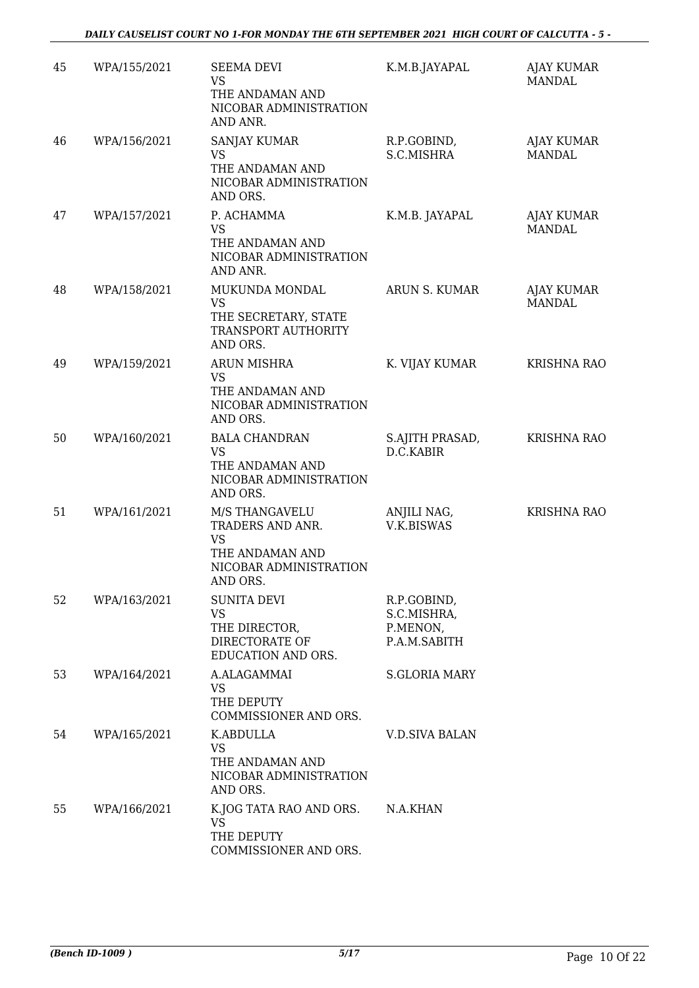| 45 | WPA/155/2021 | <b>SEEMA DEVI</b><br><b>VS</b>                                                                           | K.M.B.JAYAPAL                                          | <b>AJAY KUMAR</b><br><b>MANDAL</b> |
|----|--------------|----------------------------------------------------------------------------------------------------------|--------------------------------------------------------|------------------------------------|
|    |              | THE ANDAMAN AND<br>NICOBAR ADMINISTRATION<br>AND ANR.                                                    |                                                        |                                    |
| 46 | WPA/156/2021 | SANJAY KUMAR<br><b>VS</b><br>THE ANDAMAN AND                                                             | R.P.GOBIND,<br>S.C.MISHRA                              | <b>AJAY KUMAR</b><br><b>MANDAL</b> |
|    |              | NICOBAR ADMINISTRATION<br>AND ORS.                                                                       |                                                        |                                    |
| 47 | WPA/157/2021 | P. ACHAMMA<br><b>VS</b><br>THE ANDAMAN AND<br>NICOBAR ADMINISTRATION<br>AND ANR.                         | K.M.B. JAYAPAL                                         | AJAY KUMAR<br><b>MANDAL</b>        |
| 48 | WPA/158/2021 | MUKUNDA MONDAL<br><b>VS</b>                                                                              | ARUN S. KUMAR                                          | AJAY KUMAR<br><b>MANDAL</b>        |
|    |              | THE SECRETARY, STATE<br>TRANSPORT AUTHORITY<br>AND ORS.                                                  |                                                        |                                    |
| 49 | WPA/159/2021 | ARUN MISHRA<br><b>VS</b><br>THE ANDAMAN AND<br>NICOBAR ADMINISTRATION<br>AND ORS.                        | K. VIJAY KUMAR                                         | <b>KRISHNA RAO</b>                 |
| 50 | WPA/160/2021 | <b>BALA CHANDRAN</b><br><b>VS</b><br>THE ANDAMAN AND<br>NICOBAR ADMINISTRATION<br>AND ORS.               | S.AJITH PRASAD,<br>D.C.KABIR                           | <b>KRISHNA RAO</b>                 |
| 51 | WPA/161/2021 | M/S THANGAVELU<br>TRADERS AND ANR.<br><b>VS</b><br>THE ANDAMAN AND<br>NICOBAR ADMINISTRATION<br>AND ORS. | ANJILI NAG,<br>V.K.BISWAS                              | <b>KRISHNA RAO</b>                 |
| 52 | WPA/163/2021 | <b>SUNITA DEVI</b><br>VS<br>THE DIRECTOR,<br>DIRECTORATE OF<br><b>EDUCATION AND ORS.</b>                 | R.P.GOBIND,<br>S.C.MISHRA,<br>P.MENON,<br>P.A.M.SABITH |                                    |
| 53 | WPA/164/2021 | A.ALAGAMMAI<br>VS<br>THE DEPUTY                                                                          | <b>S.GLORIA MARY</b>                                   |                                    |
| 54 | WPA/165/2021 | COMMISSIONER AND ORS.<br>K.ABDULLA<br><b>VS</b><br>THE ANDAMAN AND<br>NICOBAR ADMINISTRATION<br>AND ORS. | <b>V.D.SIVA BALAN</b>                                  |                                    |
| 55 | WPA/166/2021 | K.JOG TATA RAO AND ORS.<br>VS<br>THE DEPUTY<br>COMMISSIONER AND ORS.                                     | N.A.KHAN                                               |                                    |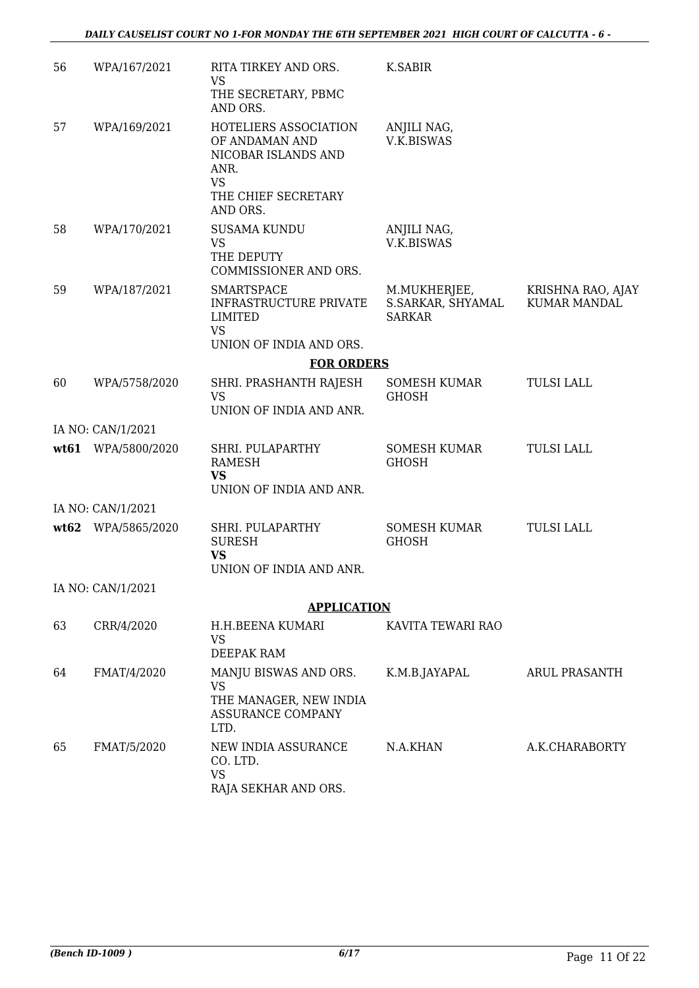| 56 | WPA/167/2021       | RITA TIRKEY AND ORS.<br><b>VS</b><br>THE SECRETARY, PBMC<br>AND ORS.                                                   | K.SABIR                                            |                                          |
|----|--------------------|------------------------------------------------------------------------------------------------------------------------|----------------------------------------------------|------------------------------------------|
| 57 | WPA/169/2021       | HOTELIERS ASSOCIATION<br>OF ANDAMAN AND<br>NICOBAR ISLANDS AND<br>ANR.<br><b>VS</b><br>THE CHIEF SECRETARY<br>AND ORS. | ANJILI NAG,<br>V.K.BISWAS                          |                                          |
| 58 | WPA/170/2021       | <b>SUSAMA KUNDU</b><br><b>VS</b><br>THE DEPUTY<br>COMMISSIONER AND ORS.                                                | ANJILI NAG,<br>V.K.BISWAS                          |                                          |
| 59 | WPA/187/2021       | <b>SMARTSPACE</b><br><b>INFRASTRUCTURE PRIVATE</b><br><b>LIMITED</b><br><b>VS</b>                                      | M.MUKHERJEE,<br>S.SARKAR, SHYAMAL<br><b>SARKAR</b> | KRISHNA RAO, AJAY<br><b>KUMAR MANDAL</b> |
|    |                    | UNION OF INDIA AND ORS.                                                                                                |                                                    |                                          |
|    |                    | <b>FOR ORDERS</b>                                                                                                      |                                                    |                                          |
| 60 | WPA/5758/2020      | SHRI. PRASHANTH RAJESH<br><b>VS</b><br>UNION OF INDIA AND ANR.                                                         | SOMESH KUMAR<br><b>GHOSH</b>                       | <b>TULSI LALL</b>                        |
|    | IA NO: CAN/1/2021  |                                                                                                                        |                                                    |                                          |
|    | wt61 WPA/5800/2020 | SHRI. PULAPARTHY<br><b>RAMESH</b><br>VS<br>UNION OF INDIA AND ANR.                                                     | <b>SOMESH KUMAR</b><br><b>GHOSH</b>                | <b>TULSI LALL</b>                        |
|    | IA NO: CAN/1/2021  |                                                                                                                        |                                                    |                                          |
|    | wt62 WPA/5865/2020 | SHRI. PULAPARTHY<br><b>SURESH</b><br><b>VS</b><br>UNION OF INDIA AND ANR.                                              | SOMESH KUMAR<br><b>GHOSH</b>                       | <b>TULSI LALL</b>                        |
|    | IA NO: CAN/1/2021  |                                                                                                                        |                                                    |                                          |
|    |                    | <b>APPLICATION</b>                                                                                                     |                                                    |                                          |
| 63 | CRR/4/2020         | H.H.BEENA KUMARI<br><b>VS</b><br>DEEPAK RAM                                                                            | KAVITA TEWARI RAO                                  |                                          |
| 64 | FMAT/4/2020        | MANJU BISWAS AND ORS.<br><b>VS</b><br>THE MANAGER, NEW INDIA<br><b>ASSURANCE COMPANY</b><br>LTD.                       | K.M.B.JAYAPAL                                      | <b>ARUL PRASANTH</b>                     |
| 65 | FMAT/5/2020        | NEW INDIA ASSURANCE<br>CO. LTD.<br><b>VS</b><br>RAJA SEKHAR AND ORS.                                                   | N.A.KHAN                                           | A.K.CHARABORTY                           |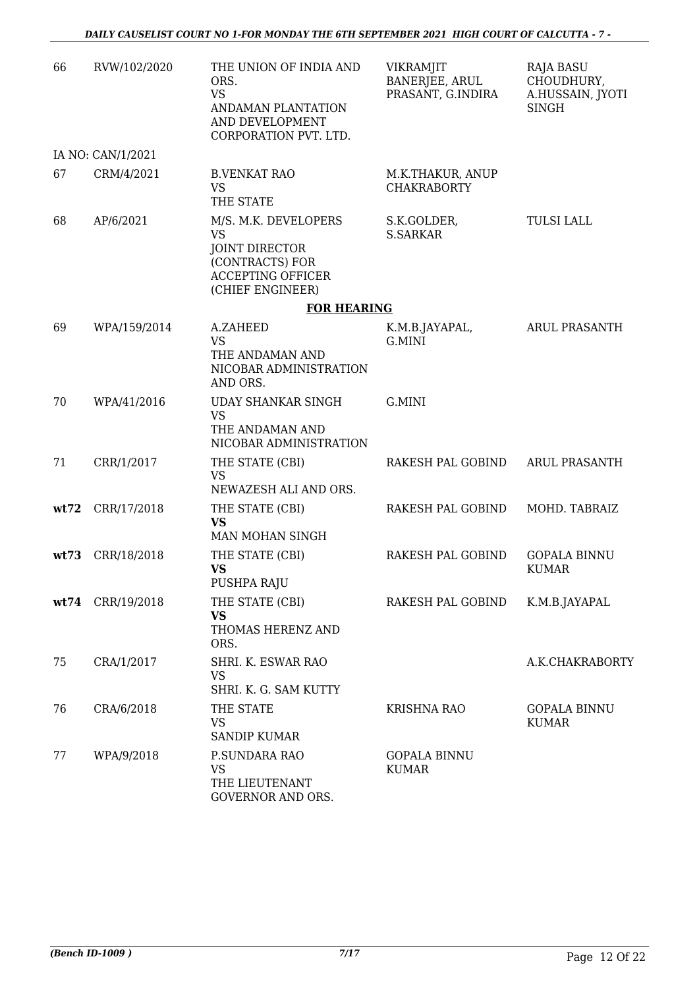| 66   | RVW/102/2020      | THE UNION OF INDIA AND<br>ORS.<br><b>VS</b><br>ANDAMAN PLANTATION<br>AND DEVELOPMENT<br>CORPORATION PVT. LTD.          | <b>VIKRAMJIT</b><br>BANERJEE, ARUL<br>PRASANT, G.INDIRA | <b>RAJA BASU</b><br>CHOUDHURY,<br>A.HUSSAIN, JYOTI<br><b>SINGH</b> |
|------|-------------------|------------------------------------------------------------------------------------------------------------------------|---------------------------------------------------------|--------------------------------------------------------------------|
|      | IA NO: CAN/1/2021 |                                                                                                                        |                                                         |                                                                    |
| 67   | CRM/4/2021        | <b>B.VENKAT RAO</b><br><b>VS</b><br>THE STATE                                                                          | M.K.THAKUR, ANUP<br><b>CHAKRABORTY</b>                  |                                                                    |
| 68   | AP/6/2021         | M/S. M.K. DEVELOPERS<br><b>VS</b><br>JOINT DIRECTOR<br>(CONTRACTS) FOR<br><b>ACCEPTING OFFICER</b><br>(CHIEF ENGINEER) | S.K.GOLDER,<br><b>S.SARKAR</b>                          | <b>TULSI LALL</b>                                                  |
|      |                   | <b>FOR HEARING</b>                                                                                                     |                                                         |                                                                    |
| 69   | WPA/159/2014      | A.ZAHEED<br><b>VS</b><br>THE ANDAMAN AND<br>NICOBAR ADMINISTRATION<br>AND ORS.                                         | K.M.B.JAYAPAL,<br>G.MINI                                | <b>ARUL PRASANTH</b>                                               |
| 70   | WPA/41/2016       | <b>UDAY SHANKAR SINGH</b><br><b>VS</b><br>THE ANDAMAN AND<br>NICOBAR ADMINISTRATION                                    | G.MINI                                                  |                                                                    |
| 71   | CRR/1/2017        | THE STATE (CBI)<br><b>VS</b><br>NEWAZESH ALI AND ORS.                                                                  | RAKESH PAL GOBIND                                       | <b>ARUL PRASANTH</b>                                               |
| wt72 | CRR/17/2018       | THE STATE (CBI)<br><b>VS</b><br>MAN MOHAN SINGH                                                                        | RAKESH PAL GOBIND                                       | MOHD. TABRAIZ                                                      |
| wt73 | CRR/18/2018       | THE STATE (CBI)<br><b>VS</b><br>PUSHPA RAJU                                                                            | RAKESH PAL GOBIND                                       | <b>GOPALA BINNU</b><br><b>KUMAR</b>                                |
|      | wt74 CRR/19/2018  | THE STATE (CBI)<br><b>VS</b><br>THOMAS HERENZ AND<br>ORS.                                                              | RAKESH PAL GOBIND                                       | K.M.B.JAYAPAL                                                      |
| 75   | CRA/1/2017        | SHRI. K. ESWAR RAO<br><b>VS</b><br>SHRI. K. G. SAM KUTTY                                                               |                                                         | A.K.CHAKRABORTY                                                    |
| 76   | CRA/6/2018        | THE STATE<br>VS<br><b>SANDIP KUMAR</b>                                                                                 | <b>KRISHNA RAO</b>                                      | <b>GOPALA BINNU</b><br><b>KUMAR</b>                                |
| 77   | WPA/9/2018        | P.SUNDARA RAO<br>VS<br>THE LIEUTENANT<br>GOVERNOR AND ORS.                                                             | <b>GOPALA BINNU</b><br><b>KUMAR</b>                     |                                                                    |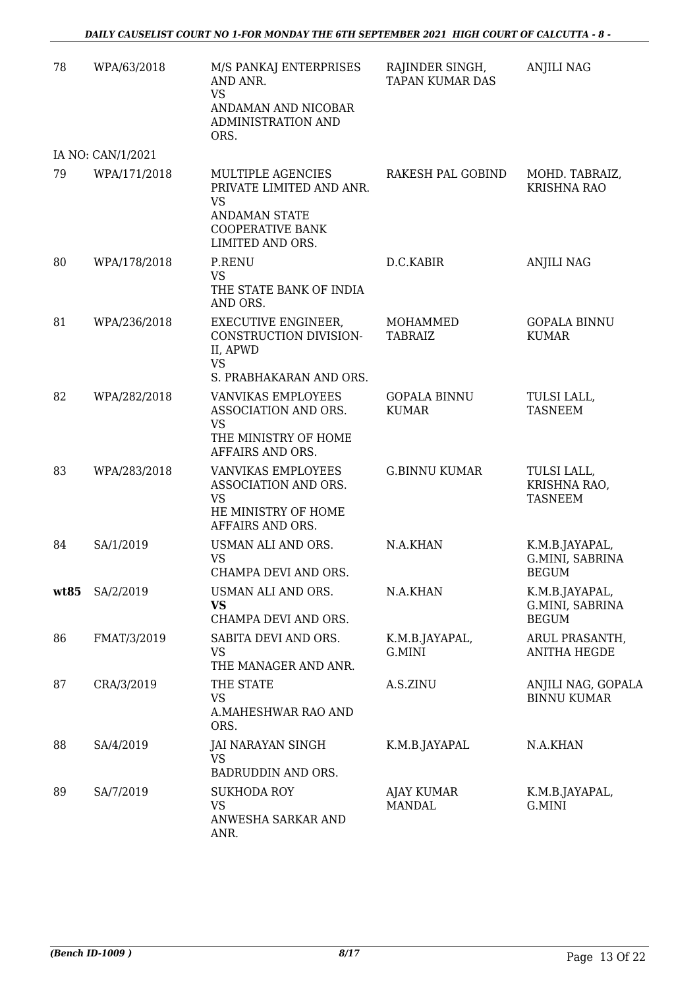| 78   | WPA/63/2018       | M/S PANKAJ ENTERPRISES<br>AND ANR.<br><b>VS</b><br>ANDAMAN AND NICOBAR<br>ADMINISTRATION AND<br>ORS.                           | RAJINDER SINGH,<br><b>TAPAN KUMAR DAS</b> | <b>ANJILI NAG</b>                                 |
|------|-------------------|--------------------------------------------------------------------------------------------------------------------------------|-------------------------------------------|---------------------------------------------------|
|      | IA NO: CAN/1/2021 |                                                                                                                                |                                           |                                                   |
| 79   | WPA/171/2018      | MULTIPLE AGENCIES<br>PRIVATE LIMITED AND ANR.<br><b>VS</b><br>ANDAMAN STATE<br><b>COOPERATIVE BANK</b><br>LIMITED AND ORS.     | RAKESH PAL GOBIND                         | MOHD. TABRAIZ,<br><b>KRISHNA RAO</b>              |
| 80   | WPA/178/2018      | P.RENU<br><b>VS</b><br>THE STATE BANK OF INDIA<br>AND ORS.                                                                     | D.C.KABIR                                 | <b>ANJILI NAG</b>                                 |
| 81   | WPA/236/2018      | <b>EXECUTIVE ENGINEER,</b><br>CONSTRUCTION DIVISION-<br>II, APWD<br><b>VS</b>                                                  | MOHAMMED<br><b>TABRAIZ</b>                | <b>GOPALA BINNU</b><br><b>KUMAR</b>               |
| 82   | WPA/282/2018      | S. PRABHAKARAN AND ORS.<br>VANVIKAS EMPLOYEES<br>ASSOCIATION AND ORS.<br><b>VS</b><br>THE MINISTRY OF HOME<br>AFFAIRS AND ORS. | <b>GOPALA BINNU</b><br><b>KUMAR</b>       | TULSI LALL,<br><b>TASNEEM</b>                     |
| 83   | WPA/283/2018      | VANVIKAS EMPLOYEES<br>ASSOCIATION AND ORS.<br><b>VS</b><br>HE MINISTRY OF HOME<br>AFFAIRS AND ORS.                             | <b>G.BINNU KUMAR</b>                      | TULSI LALL,<br>KRISHNA RAO,<br><b>TASNEEM</b>     |
| 84   | SA/1/2019         | USMAN ALI AND ORS.<br><b>VS</b><br>CHAMPA DEVI AND ORS.                                                                        | N.A.KHAN                                  | K.M.B.JAYAPAL,<br>G.MINI, SABRINA<br><b>BEGUM</b> |
| wt85 | SA/2/2019         | USMAN ALI AND ORS.<br><b>VS</b><br>CHAMPA DEVI AND ORS.                                                                        | N.A.KHAN                                  | K.M.B.JAYAPAL,<br>G.MINI, SABRINA<br><b>BEGUM</b> |
| 86   | FMAT/3/2019       | SABITA DEVI AND ORS.<br>VS<br>THE MANAGER AND ANR.                                                                             | K.M.B.JAYAPAL,<br>G.MINI                  | ARUL PRASANTH,<br>ANITHA HEGDE                    |
| 87   | CRA/3/2019        | THE STATE<br><b>VS</b><br>A.MAHESHWAR RAO AND<br>ORS.                                                                          | A.S.ZINU                                  | ANJILI NAG, GOPALA<br><b>BINNU KUMAR</b>          |
| 88   | SA/4/2019         | JAI NARAYAN SINGH<br><b>VS</b><br>BADRUDDIN AND ORS.                                                                           | K.M.B.JAYAPAL                             | N.A.KHAN                                          |
| 89   | SA/7/2019         | <b>SUKHODA ROY</b><br><b>VS</b><br>ANWESHA SARKAR AND<br>ANR.                                                                  | AJAY KUMAR<br><b>MANDAL</b>               | K.M.B.JAYAPAL,<br>G.MINI                          |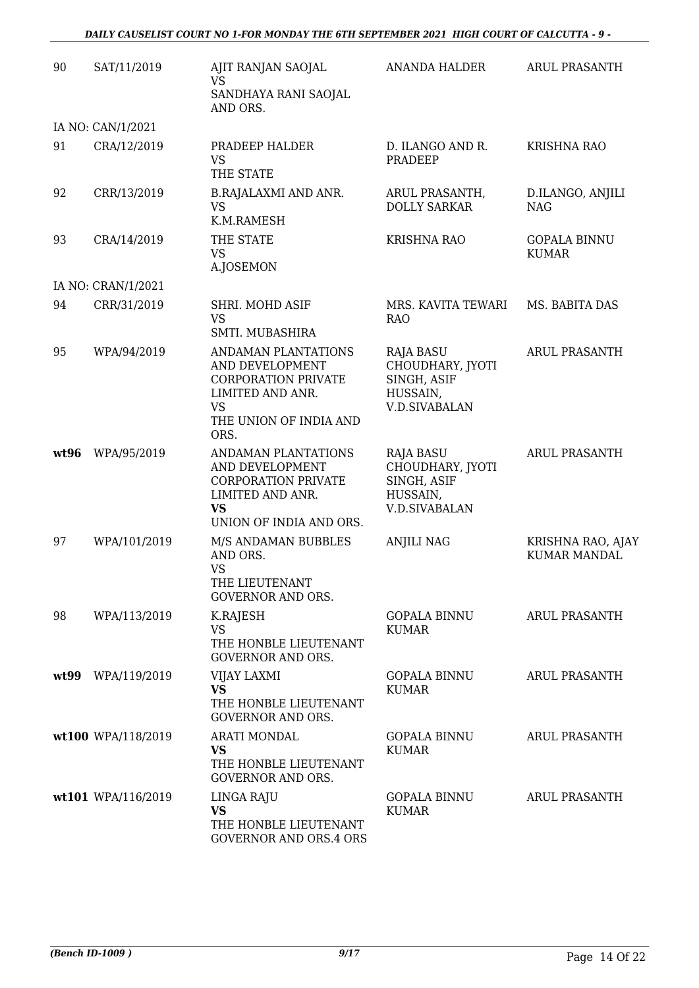#### *DAILY CAUSELIST COURT NO 1-FOR MONDAY THE 6TH SEPTEMBER 2021 HIGH COURT OF CALCUTTA - 9 -*

| 90   | SAT/11/2019        | AJIT RANJAN SAOJAL<br><b>VS</b><br>SANDHAYA RANI SAOJAL                                                                                 | <b>ANANDA HALDER</b>                                                                    | <b>ARUL PRASANTH</b>                     |
|------|--------------------|-----------------------------------------------------------------------------------------------------------------------------------------|-----------------------------------------------------------------------------------------|------------------------------------------|
|      |                    | AND ORS.                                                                                                                                |                                                                                         |                                          |
|      | IA NO: CAN/1/2021  |                                                                                                                                         |                                                                                         |                                          |
| 91   | CRA/12/2019        | PRADEEP HALDER<br><b>VS</b><br>THE STATE                                                                                                | D. ILANGO AND R.<br>PRADEEP                                                             | <b>KRISHNA RAO</b>                       |
| 92   | CRR/13/2019        | <b>B.RAJALAXMI AND ANR.</b><br><b>VS</b><br>K.M.RAMESH                                                                                  | ARUL PRASANTH,<br><b>DOLLY SARKAR</b>                                                   | D.ILANGO, ANJILI<br><b>NAG</b>           |
| 93   | CRA/14/2019        | THE STATE<br><b>VS</b><br>A.JOSEMON                                                                                                     | <b>KRISHNA RAO</b>                                                                      | <b>GOPALA BINNU</b><br><b>KUMAR</b>      |
|      | IA NO: CRAN/1/2021 |                                                                                                                                         |                                                                                         |                                          |
| 94   | CRR/31/2019        | SHRI. MOHD ASIF<br><b>VS</b><br>SMTI. MUBASHIRA                                                                                         | MRS. KAVITA TEWARI<br><b>RAO</b>                                                        | MS. BABITA DAS                           |
| 95   | WPA/94/2019        | ANDAMAN PLANTATIONS<br>AND DEVELOPMENT<br><b>CORPORATION PRIVATE</b><br>LIMITED AND ANR.<br><b>VS</b><br>THE UNION OF INDIA AND<br>ORS. | <b>RAJA BASU</b><br>CHOUDHARY, JYOTI<br>SINGH, ASIF<br>HUSSAIN,<br><b>V.D.SIVABALAN</b> | <b>ARUL PRASANTH</b>                     |
| wt96 | WPA/95/2019        | ANDAMAN PLANTATIONS<br>AND DEVELOPMENT<br><b>CORPORATION PRIVATE</b><br>LIMITED AND ANR.<br><b>VS</b><br>UNION OF INDIA AND ORS.        | <b>RAJA BASU</b><br>CHOUDHARY, JYOTI<br>SINGH, ASIF<br>HUSSAIN,<br><b>V.D.SIVABALAN</b> | <b>ARUL PRASANTH</b>                     |
| 97   | WPA/101/2019       | M/S ANDAMAN BUBBLES<br>AND ORS.<br><b>VS</b><br>THE LIEUTENANT<br><b>GOVERNOR AND ORS.</b>                                              | <b>ANJILI NAG</b>                                                                       | KRISHNA RAO, AJAY<br><b>KUMAR MANDAL</b> |
| 98   | WPA/113/2019       | K.RAJESH<br><b>VS</b><br>THE HONBLE LIEUTENANT<br><b>GOVERNOR AND ORS.</b>                                                              | <b>GOPALA BINNU</b><br><b>KUMAR</b>                                                     | <b>ARUL PRASANTH</b>                     |
|      | wt99 WPA/119/2019  | VIJAY LAXMI<br><b>VS</b><br>THE HONBLE LIEUTENANT<br><b>GOVERNOR AND ORS.</b>                                                           | <b>GOPALA BINNU</b><br><b>KUMAR</b>                                                     | <b>ARUL PRASANTH</b>                     |
|      | wt100 WPA/118/2019 | <b>ARATI MONDAL</b><br>VS<br>THE HONBLE LIEUTENANT<br><b>GOVERNOR AND ORS.</b>                                                          | <b>GOPALA BINNU</b><br><b>KUMAR</b>                                                     | ARUL PRASANTH                            |
|      | wt101 WPA/116/2019 | LINGA RAJU<br><b>VS</b><br>THE HONBLE LIEUTENANT<br><b>GOVERNOR AND ORS.4 ORS</b>                                                       | <b>GOPALA BINNU</b><br><b>KUMAR</b>                                                     | <b>ARUL PRASANTH</b>                     |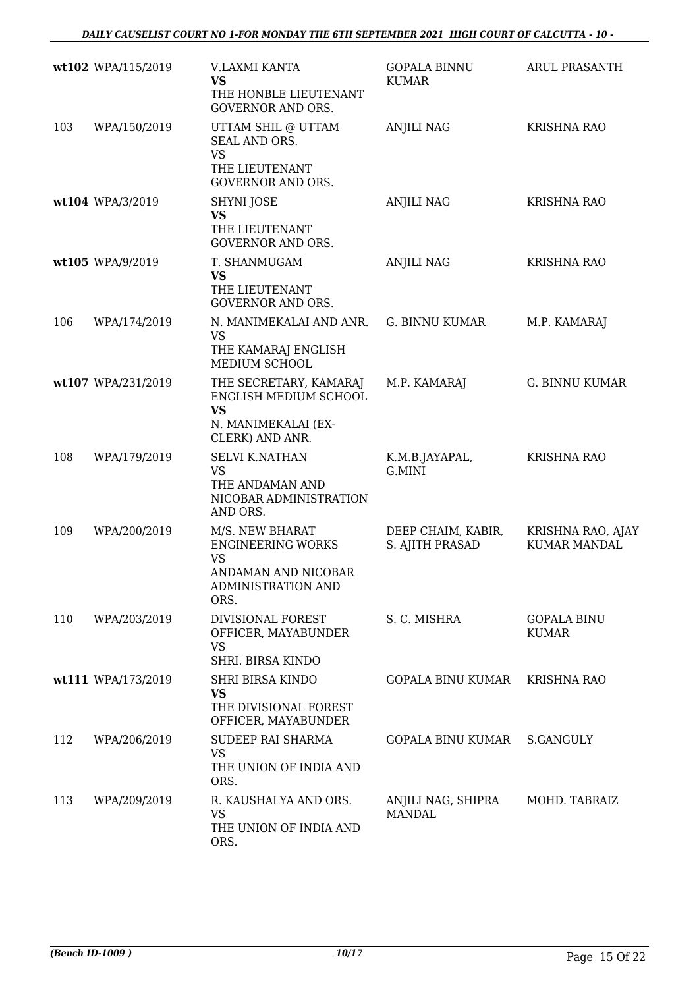|     | wt102 WPA/115/2019 | V.LAXMI KANTA<br><b>VS</b><br>THE HONBLE LIEUTENANT<br><b>GOVERNOR AND ORS.</b>                               | <b>GOPALA BINNU</b><br><b>KUMAR</b>   | <b>ARUL PRASANTH</b>                     |
|-----|--------------------|---------------------------------------------------------------------------------------------------------------|---------------------------------------|------------------------------------------|
| 103 | WPA/150/2019       | UTTAM SHIL @ UTTAM<br>SEAL AND ORS.<br><b>VS</b><br>THE LIEUTENANT<br><b>GOVERNOR AND ORS.</b>                | ANJILI NAG                            | <b>KRISHNA RAO</b>                       |
|     | wt104 WPA/3/2019   | <b>SHYNI JOSE</b><br><b>VS</b><br>THE LIEUTENANT<br><b>GOVERNOR AND ORS.</b>                                  | ANJILI NAG                            | <b>KRISHNA RAO</b>                       |
|     | wt105 WPA/9/2019   | T. SHANMUGAM<br><b>VS</b><br>THE LIEUTENANT<br><b>GOVERNOR AND ORS.</b>                                       | <b>ANJILI NAG</b>                     | <b>KRISHNA RAO</b>                       |
| 106 | WPA/174/2019       | N. MANIMEKALAI AND ANR.<br><b>VS</b><br>THE KAMARAJ ENGLISH<br>MEDIUM SCHOOL                                  | <b>G. BINNU KUMAR</b>                 | M.P. KAMARAJ                             |
|     | wt107 WPA/231/2019 | THE SECRETARY, KAMARAJ<br>ENGLISH MEDIUM SCHOOL<br><b>VS</b><br>N. MANIMEKALAI (EX-<br>CLERK) AND ANR.        | M.P. KAMARAJ                          | <b>G. BINNU KUMAR</b>                    |
| 108 | WPA/179/2019       | <b>SELVI K.NATHAN</b><br><b>VS</b><br>THE ANDAMAN AND<br>NICOBAR ADMINISTRATION<br>AND ORS.                   | K.M.B.JAYAPAL,<br>G.MINI              | <b>KRISHNA RAO</b>                       |
| 109 | WPA/200/2019       | M/S. NEW BHARAT<br><b>ENGINEERING WORKS</b><br><b>VS</b><br>ANDAMAN AND NICOBAR<br>ADMINISTRATION AND<br>ORS. | DEEP CHAIM, KABIR,<br>S. AJITH PRASAD | KRISHNA RAO, AJAY<br><b>KUMAR MANDAL</b> |
| 110 | WPA/203/2019       | <b>DIVISIONAL FOREST</b><br>OFFICER, MAYABUNDER<br><b>VS</b><br>SHRI. BIRSA KINDO                             | S. C. MISHRA                          | <b>GOPALA BINU</b><br><b>KUMAR</b>       |
|     | wt111 WPA/173/2019 | SHRI BIRSA KINDO<br><b>VS</b><br>THE DIVISIONAL FOREST<br>OFFICER, MAYABUNDER                                 | <b>GOPALA BINU KUMAR</b>              | <b>KRISHNA RAO</b>                       |
| 112 | WPA/206/2019       | SUDEEP RAI SHARMA<br><b>VS</b><br>THE UNION OF INDIA AND<br>ORS.                                              | <b>GOPALA BINU KUMAR</b>              | S.GANGULY                                |
| 113 | WPA/209/2019       | R. KAUSHALYA AND ORS.<br>VS<br>THE UNION OF INDIA AND<br>ORS.                                                 | ANJILI NAG, SHIPRA<br><b>MANDAL</b>   | MOHD. TABRAIZ                            |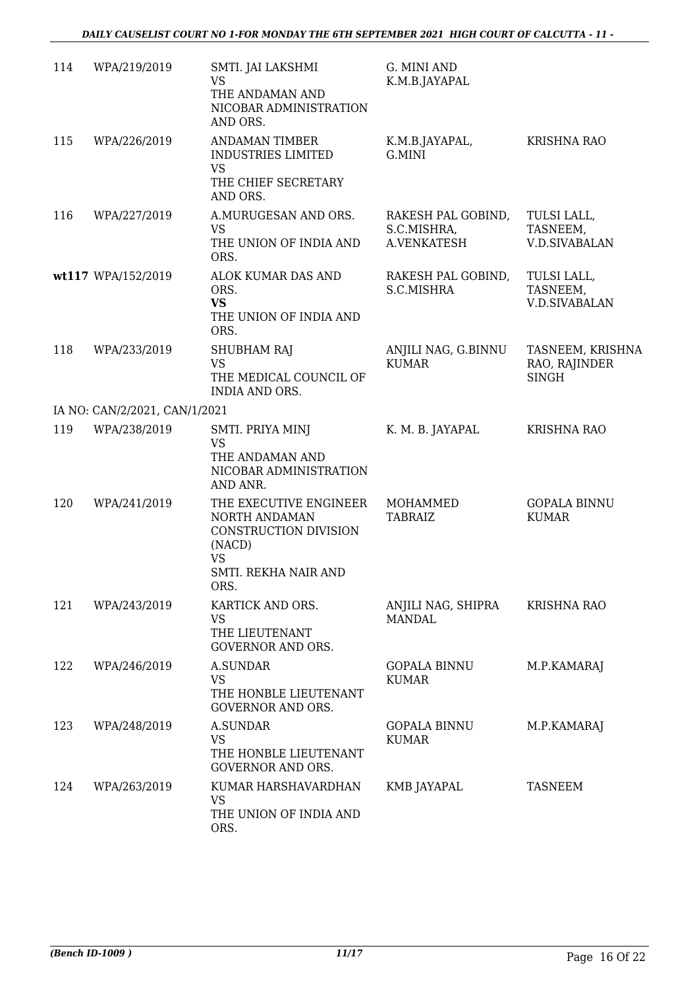| 114 | WPA/219/2019                  | SMTI. JAI LAKSHMI<br><b>VS</b><br>THE ANDAMAN AND<br>NICOBAR ADMINISTRATION<br>AND ORS.                                 | G. MINI AND<br>K.M.B.JAYAPAL                     |                                                   |
|-----|-------------------------------|-------------------------------------------------------------------------------------------------------------------------|--------------------------------------------------|---------------------------------------------------|
| 115 | WPA/226/2019                  | ANDAMAN TIMBER<br><b>INDUSTRIES LIMITED</b><br><b>VS</b><br>THE CHIEF SECRETARY<br>AND ORS.                             | K.M.B.JAYAPAL,<br>G.MINI                         | <b>KRISHNA RAO</b>                                |
| 116 | WPA/227/2019                  | A.MURUGESAN AND ORS.<br><b>VS</b><br>THE UNION OF INDIA AND<br>ORS.                                                     | RAKESH PAL GOBIND,<br>S.C.MISHRA,<br>A.VENKATESH | TULSI LALL,<br>TASNEEM,<br><b>V.D.SIVABALAN</b>   |
|     | wt117 WPA/152/2019            | ALOK KUMAR DAS AND<br>ORS.<br><b>VS</b><br>THE UNION OF INDIA AND<br>ORS.                                               | RAKESH PAL GOBIND,<br>S.C.MISHRA                 | TULSI LALL,<br>TASNEEM,<br><b>V.D.SIVABALAN</b>   |
| 118 | WPA/233/2019                  | <b>SHUBHAM RAJ</b><br><b>VS</b><br>THE MEDICAL COUNCIL OF<br>INDIA AND ORS.                                             | ANJILI NAG, G.BINNU<br><b>KUMAR</b>              | TASNEEM, KRISHNA<br>RAO, RAJINDER<br><b>SINGH</b> |
|     | IA NO: CAN/2/2021, CAN/1/2021 |                                                                                                                         |                                                  |                                                   |
| 119 | WPA/238/2019                  | SMTI. PRIYA MINJ<br><b>VS</b><br>THE ANDAMAN AND<br>NICOBAR ADMINISTRATION<br>AND ANR.                                  | K. M. B. JAYAPAL                                 | <b>KRISHNA RAO</b>                                |
| 120 | WPA/241/2019                  | THE EXECUTIVE ENGINEER<br>NORTH ANDAMAN<br>CONSTRUCTION DIVISION<br>(NACD)<br><b>VS</b><br>SMTI. REKHA NAIR AND<br>ORS. | MOHAMMED<br><b>TABRAIZ</b>                       | <b>GOPALA BINNU</b><br><b>KUMAR</b>               |
| 121 | WPA/243/2019                  | KARTICK AND ORS.<br><b>VS</b><br>THE LIEUTENANT<br><b>GOVERNOR AND ORS.</b>                                             | ANJILI NAG, SHIPRA<br><b>MANDAL</b>              | KRISHNA RAO                                       |
| 122 | WPA/246/2019                  | <b>A.SUNDAR</b><br><b>VS</b><br>THE HONBLE LIEUTENANT<br><b>GOVERNOR AND ORS.</b>                                       | <b>GOPALA BINNU</b><br><b>KUMAR</b>              | M.P.KAMARAJ                                       |
| 123 | WPA/248/2019                  | <b>A.SUNDAR</b><br><b>VS</b><br>THE HONBLE LIEUTENANT<br><b>GOVERNOR AND ORS.</b>                                       | <b>GOPALA BINNU</b><br><b>KUMAR</b>              | M.P.KAMARAJ                                       |
| 124 | WPA/263/2019                  | KUMAR HARSHAVARDHAN<br><b>VS</b><br>THE UNION OF INDIA AND<br>ORS.                                                      | KMB JAYAPAL                                      | <b>TASNEEM</b>                                    |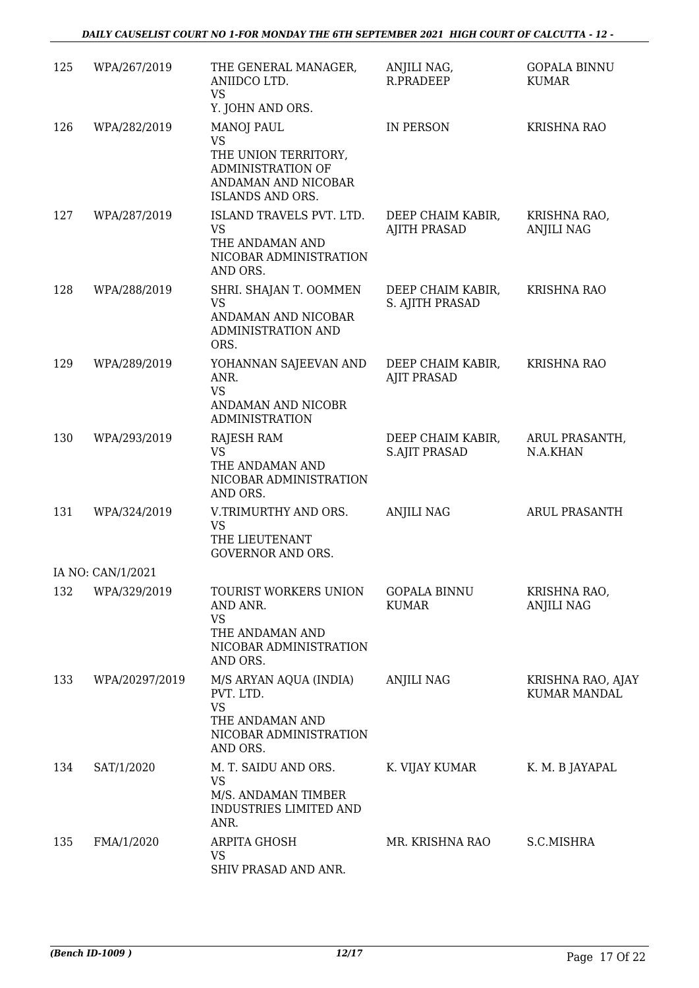| 125 | WPA/267/2019      | THE GENERAL MANAGER,<br>ANIIDCO LTD.<br><b>VS</b><br>Y. JOHN AND ORS.                                                  | ANJILI NAG,<br>R.PRADEEP                  | <b>GOPALA BINNU</b><br><b>KUMAR</b> |
|-----|-------------------|------------------------------------------------------------------------------------------------------------------------|-------------------------------------------|-------------------------------------|
| 126 | WPA/282/2019      | <b>MANOJ PAUL</b><br><b>VS</b><br>THE UNION TERRITORY,<br>ADMINISTRATION OF<br>ANDAMAN AND NICOBAR<br>ISLANDS AND ORS. | IN PERSON                                 | <b>KRISHNA RAO</b>                  |
| 127 | WPA/287/2019      | ISLAND TRAVELS PVT. LTD.<br><b>VS</b><br>THE ANDAMAN AND<br>NICOBAR ADMINISTRATION<br>AND ORS.                         | DEEP CHAIM KABIR,<br><b>AJITH PRASAD</b>  | KRISHNA RAO,<br><b>ANJILI NAG</b>   |
| 128 | WPA/288/2019      | SHRI. SHAJAN T. OOMMEN<br><b>VS</b><br>ANDAMAN AND NICOBAR<br>ADMINISTRATION AND<br>ORS.                               | DEEP CHAIM KABIR,<br>S. AJITH PRASAD      | <b>KRISHNA RAO</b>                  |
| 129 | WPA/289/2019      | YOHANNAN SAJEEVAN AND<br>ANR.<br><b>VS</b><br>ANDAMAN AND NICOBR<br><b>ADMINISTRATION</b>                              | DEEP CHAIM KABIR,<br><b>AJIT PRASAD</b>   | <b>KRISHNA RAO</b>                  |
| 130 | WPA/293/2019      | RAJESH RAM<br><b>VS</b><br>THE ANDAMAN AND<br>NICOBAR ADMINISTRATION<br>AND ORS.                                       | DEEP CHAIM KABIR,<br><b>S.AJIT PRASAD</b> | ARUL PRASANTH,<br>N.A.KHAN          |
| 131 | WPA/324/2019      | V.TRIMURTHY AND ORS.<br><b>VS</b><br>THE LIEUTENANT<br><b>GOVERNOR AND ORS.</b>                                        | <b>ANJILI NAG</b>                         | <b>ARUL PRASANTH</b>                |
|     | IA NO: CAN/1/2021 |                                                                                                                        |                                           |                                     |
| 132 | WPA/329/2019      | TOURIST WORKERS UNION<br>AND ANR.<br><b>VS</b><br>THE ANDAMAN AND<br>NICOBAR ADMINISTRATION<br>AND ORS.                | <b>GOPALA BINNU</b><br><b>KUMAR</b>       | KRISHNA RAO,<br><b>ANJILI NAG</b>   |
| 133 | WPA/20297/2019    | M/S ARYAN AQUA (INDIA)<br>PVT. LTD.<br><b>VS</b><br>THE ANDAMAN AND<br>NICOBAR ADMINISTRATION<br>AND ORS.              | <b>ANJILI NAG</b>                         | KRISHNA RAO, AJAY<br>KUMAR MANDAL   |
| 134 | SAT/1/2020        | M. T. SAIDU AND ORS.<br><b>VS</b><br>M/S. ANDAMAN TIMBER<br>INDUSTRIES LIMITED AND<br>ANR.                             | K. VIJAY KUMAR                            | K. M. B JAYAPAL                     |
| 135 | FMA/1/2020        | ARPITA GHOSH<br><b>VS</b><br>SHIV PRASAD AND ANR.                                                                      | MR. KRISHNA RAO                           | S.C.MISHRA                          |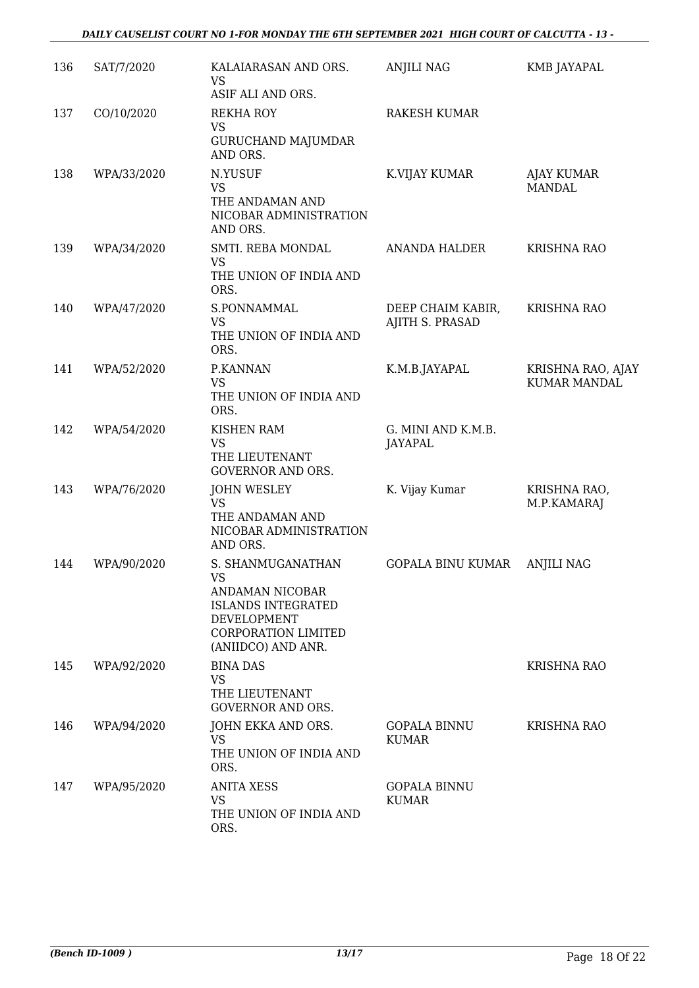| 136 | SAT/7/2020  | KALAIARASAN AND ORS.<br>VS<br>ASIF ALI AND ORS.                                                                                                   | ANJILI NAG                           | KMB JAYAPAL                              |
|-----|-------------|---------------------------------------------------------------------------------------------------------------------------------------------------|--------------------------------------|------------------------------------------|
| 137 | CO/10/2020  | REKHA ROY<br><b>VS</b><br><b>GURUCHAND MAJUMDAR</b><br>AND ORS.                                                                                   | <b>RAKESH KUMAR</b>                  |                                          |
| 138 | WPA/33/2020 | N.YUSUF<br><b>VS</b><br>THE ANDAMAN AND<br>NICOBAR ADMINISTRATION<br>AND ORS.                                                                     | K.VIJAY KUMAR                        | <b>AJAY KUMAR</b><br><b>MANDAL</b>       |
| 139 | WPA/34/2020 | SMTI. REBA MONDAL<br><b>VS</b><br>THE UNION OF INDIA AND<br>ORS.                                                                                  | <b>ANANDA HALDER</b>                 | <b>KRISHNA RAO</b>                       |
| 140 | WPA/47/2020 | S.PONNAMMAL<br><b>VS</b><br>THE UNION OF INDIA AND<br>ORS.                                                                                        | DEEP CHAIM KABIR,<br>AJITH S. PRASAD | <b>KRISHNA RAO</b>                       |
| 141 | WPA/52/2020 | P.KANNAN<br><b>VS</b><br>THE UNION OF INDIA AND<br>ORS.                                                                                           | K.M.B.JAYAPAL                        | KRISHNA RAO, AJAY<br><b>KUMAR MANDAL</b> |
| 142 | WPA/54/2020 | <b>KISHEN RAM</b><br>VS<br>THE LIEUTENANT<br><b>GOVERNOR AND ORS.</b>                                                                             | G. MINI AND K.M.B.<br><b>JAYAPAL</b> |                                          |
| 143 | WPA/76/2020 | <b>JOHN WESLEY</b><br><b>VS</b><br>THE ANDAMAN AND<br>NICOBAR ADMINISTRATION<br>AND ORS.                                                          | K. Vijay Kumar                       | KRISHNA RAO,<br>M.P.KAMARAJ              |
| 144 | WPA/90/2020 | S. SHANMUGANATHAN<br><b>VS</b><br>ANDAMAN NICOBAR<br><b>ISLANDS INTEGRATED</b><br>DEVELOPMENT<br><b>CORPORATION LIMITED</b><br>(ANIIDCO) AND ANR. | <b>GOPALA BINU KUMAR</b>             | <b>ANJILI NAG</b>                        |
| 145 | WPA/92/2020 | <b>BINA DAS</b><br><b>VS</b><br>THE LIEUTENANT<br><b>GOVERNOR AND ORS.</b>                                                                        |                                      | <b>KRISHNA RAO</b>                       |
| 146 | WPA/94/2020 | JOHN EKKA AND ORS.<br><b>VS</b><br>THE UNION OF INDIA AND<br>ORS.                                                                                 | <b>GOPALA BINNU</b><br><b>KUMAR</b>  | <b>KRISHNA RAO</b>                       |
| 147 | WPA/95/2020 | <b>ANITA XESS</b><br><b>VS</b><br>THE UNION OF INDIA AND<br>ORS.                                                                                  | <b>GOPALA BINNU</b><br><b>KUMAR</b>  |                                          |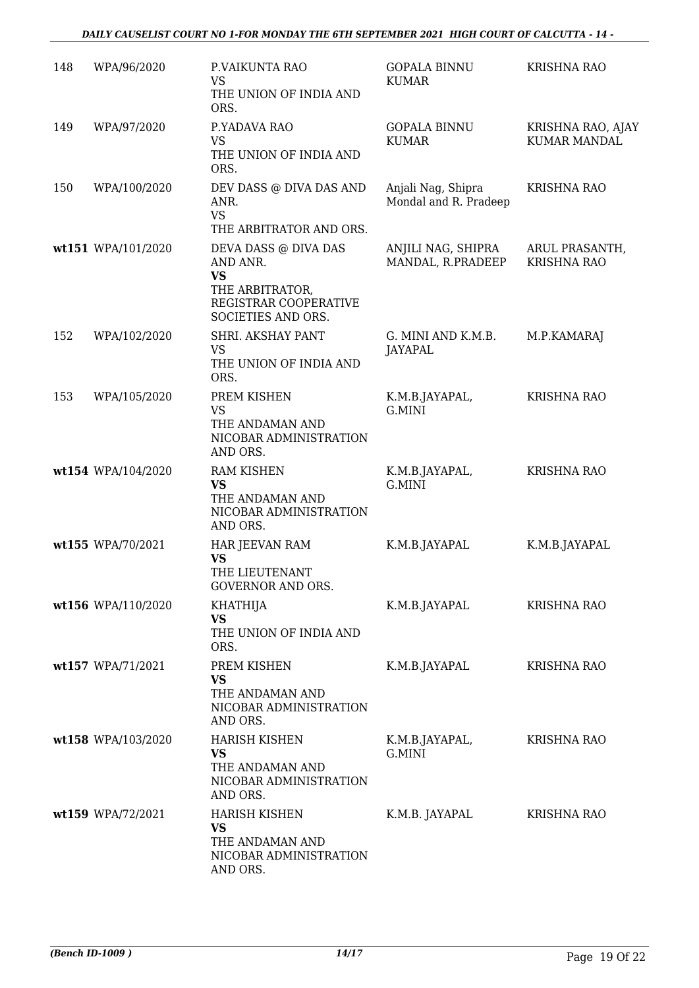| 148 | WPA/96/2020        | P.VAIKUNTA RAO<br>VS<br>THE UNION OF INDIA AND<br>ORS.                                                          | <b>GOPALA BINNU</b><br><b>KUMAR</b>         | <b>KRISHNA RAO</b>                       |
|-----|--------------------|-----------------------------------------------------------------------------------------------------------------|---------------------------------------------|------------------------------------------|
| 149 | WPA/97/2020        | P.YADAVA RAO<br><b>VS</b><br>THE UNION OF INDIA AND<br>ORS.                                                     | <b>GOPALA BINNU</b><br><b>KUMAR</b>         | KRISHNA RAO, AJAY<br><b>KUMAR MANDAL</b> |
| 150 | WPA/100/2020       | DEV DASS @ DIVA DAS AND<br>ANR.<br><b>VS</b><br>THE ARBITRATOR AND ORS.                                         | Anjali Nag, Shipra<br>Mondal and R. Pradeep | <b>KRISHNA RAO</b>                       |
|     | wt151 WPA/101/2020 | DEVA DASS @ DIVA DAS<br>AND ANR.<br><b>VS</b><br>THE ARBITRATOR,<br>REGISTRAR COOPERATIVE<br>SOCIETIES AND ORS. | ANJILI NAG, SHIPRA<br>MANDAL, R.PRADEEP     | ARUL PRASANTH,<br>KRISHNA RAO            |
| 152 | WPA/102/2020       | SHRI. AKSHAY PANT<br>VS<br>THE UNION OF INDIA AND<br>ORS.                                                       | G. MINI AND K.M.B.<br><b>JAYAPAL</b>        | M.P.KAMARAJ                              |
| 153 | WPA/105/2020       | PREM KISHEN<br><b>VS</b><br>THE ANDAMAN AND<br>NICOBAR ADMINISTRATION<br>AND ORS.                               | K.M.B.JAYAPAL,<br>G.MINI                    | <b>KRISHNA RAO</b>                       |
|     | wt154 WPA/104/2020 | <b>RAM KISHEN</b><br><b>VS</b><br>THE ANDAMAN AND<br>NICOBAR ADMINISTRATION<br>AND ORS.                         | K.M.B.JAYAPAL,<br>G.MINI                    | <b>KRISHNA RAO</b>                       |
|     | wt155 WPA/70/2021  | <b>HAR JEEVAN RAM</b><br><b>VS</b><br>THE LIEUTENANT<br><b>GOVERNOR AND ORS.</b>                                | K.M.B.JAYAPAL                               | K.M.B.JAYAPAL                            |
|     | wt156 WPA/110/2020 | <b>KHATHIJA</b><br><b>VS</b><br>THE UNION OF INDIA AND<br>ORS.                                                  | K.M.B.JAYAPAL                               | <b>KRISHNA RAO</b>                       |
|     | wt157 WPA/71/2021  | PREM KISHEN<br>VS<br>THE ANDAMAN AND<br>NICOBAR ADMINISTRATION<br>AND ORS.                                      | K.M.B.JAYAPAL                               | <b>KRISHNA RAO</b>                       |
|     | wt158 WPA/103/2020 | <b>HARISH KISHEN</b><br><b>VS</b><br>THE ANDAMAN AND<br>NICOBAR ADMINISTRATION<br>AND ORS.                      | K.M.B.JAYAPAL,<br>G.MINI                    | KRISHNA RAO                              |
|     | wt159 WPA/72/2021  | <b>HARISH KISHEN</b><br>VS<br>THE ANDAMAN AND<br>NICOBAR ADMINISTRATION<br>AND ORS.                             | K.M.B. JAYAPAL                              | KRISHNA RAO                              |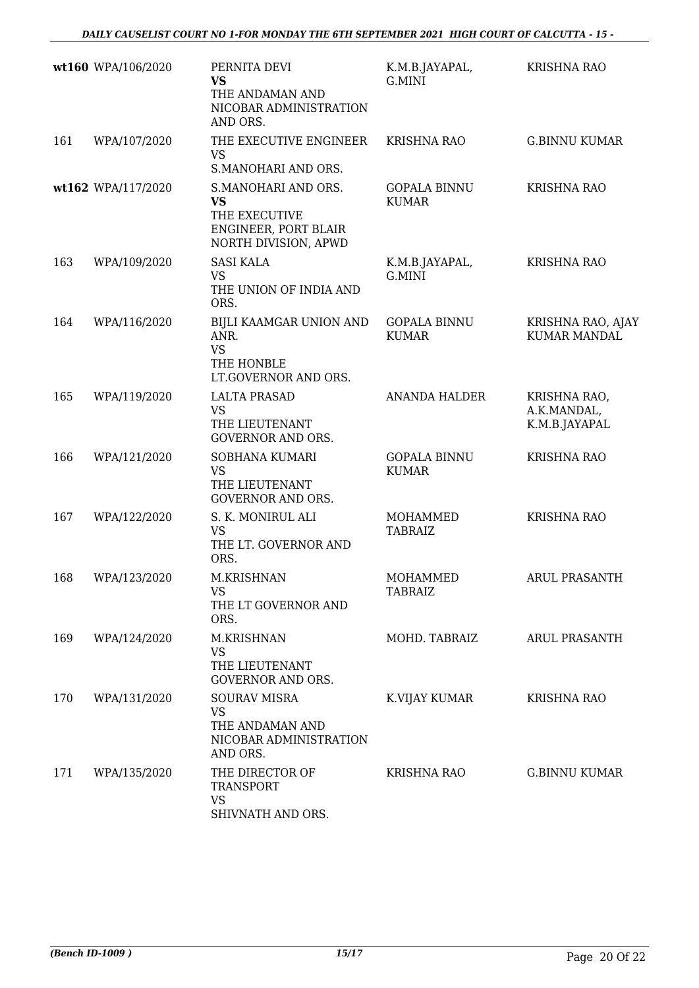|     | wt160 WPA/106/2020 | PERNITA DEVI<br>VS<br>THE ANDAMAN AND<br>NICOBAR ADMINISTRATION<br>AND ORS.                       | K.M.B.JAYAPAL,<br>G.MINI            | <b>KRISHNA RAO</b>                           |
|-----|--------------------|---------------------------------------------------------------------------------------------------|-------------------------------------|----------------------------------------------|
| 161 | WPA/107/2020       | THE EXECUTIVE ENGINEER<br><b>VS</b><br>S.MANOHARI AND ORS.                                        | <b>KRISHNA RAO</b>                  | <b>G.BINNU KUMAR</b>                         |
|     | wt162 WPA/117/2020 | S.MANOHARI AND ORS.<br><b>VS</b><br>THE EXECUTIVE<br>ENGINEER, PORT BLAIR<br>NORTH DIVISION, APWD | <b>GOPALA BINNU</b><br><b>KUMAR</b> | <b>KRISHNA RAO</b>                           |
| 163 | WPA/109/2020       | <b>SASI KALA</b><br><b>VS</b><br>THE UNION OF INDIA AND<br>ORS.                                   | K.M.B.JAYAPAL,<br>G.MINI            | <b>KRISHNA RAO</b>                           |
| 164 | WPA/116/2020       | BIJLI KAAMGAR UNION AND<br>ANR.<br>VS<br>THE HONBLE<br>LT.GOVERNOR AND ORS.                       | <b>GOPALA BINNU</b><br><b>KUMAR</b> | KRISHNA RAO, AJAY<br><b>KUMAR MANDAL</b>     |
| 165 | WPA/119/2020       | <b>LALTA PRASAD</b><br><b>VS</b><br>THE LIEUTENANT<br><b>GOVERNOR AND ORS.</b>                    | <b>ANANDA HALDER</b>                | KRISHNA RAO,<br>A.K.MANDAL,<br>K.M.B.JAYAPAL |
| 166 | WPA/121/2020       | SOBHANA KUMARI<br><b>VS</b><br>THE LIEUTENANT<br><b>GOVERNOR AND ORS.</b>                         | <b>GOPALA BINNU</b><br><b>KUMAR</b> | <b>KRISHNA RAO</b>                           |
| 167 | WPA/122/2020       | S. K. MONIRUL ALI<br><b>VS</b><br>THE LT. GOVERNOR AND<br>ORS.                                    | MOHAMMED<br><b>TABRAIZ</b>          | <b>KRISHNA RAO</b>                           |
| 168 | WPA/123/2020       | M.KRISHNAN<br><b>VS</b><br>THE LT GOVERNOR AND<br>ORS.                                            | MOHAMMED<br><b>TABRAIZ</b>          | ARUL PRASANTH                                |
| 169 | WPA/124/2020       | M.KRISHNAN<br>VS<br>THE LIEUTENANT<br><b>GOVERNOR AND ORS.</b>                                    | MOHD. TABRAIZ                       | ARUL PRASANTH                                |
| 170 | WPA/131/2020       | <b>SOURAV MISRA</b><br><b>VS</b><br>THE ANDAMAN AND<br>NICOBAR ADMINISTRATION<br>AND ORS.         | K.VIJAY KUMAR                       | <b>KRISHNA RAO</b>                           |
| 171 | WPA/135/2020       | THE DIRECTOR OF<br><b>TRANSPORT</b><br>VS<br>SHIVNATH AND ORS.                                    | KRISHNA RAO                         | <b>G.BINNU KUMAR</b>                         |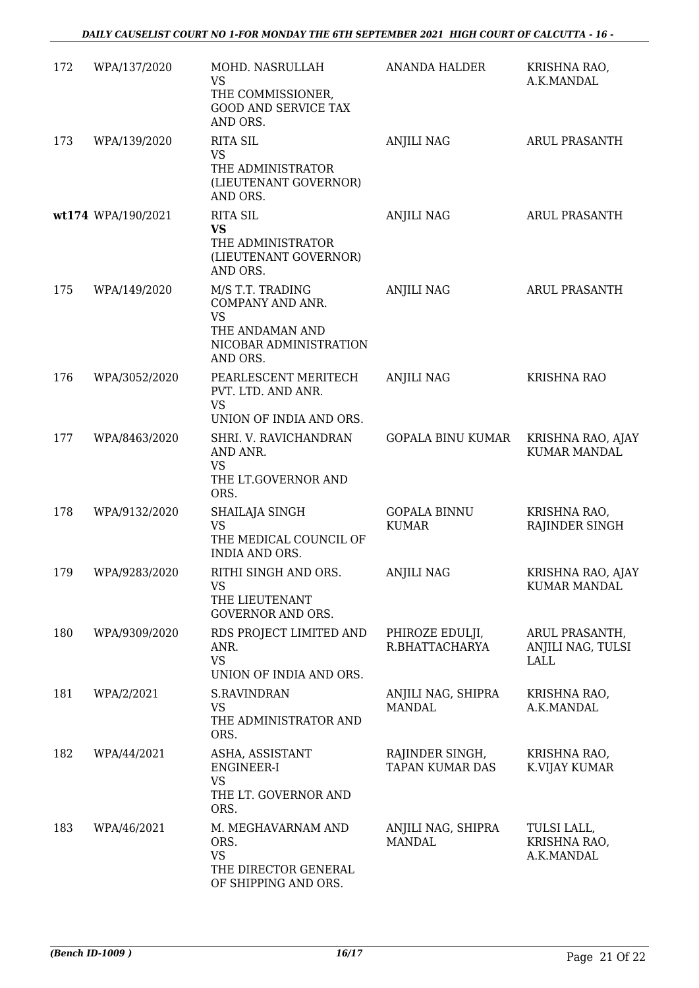| 172 | WPA/137/2020       | MOHD. NASRULLAH<br><b>VS</b><br>THE COMMISSIONER,<br><b>GOOD AND SERVICE TAX</b><br>AND ORS.               | <b>ANANDA HALDER</b>                | KRISHNA RAO,<br>A.K.MANDAL                  |
|-----|--------------------|------------------------------------------------------------------------------------------------------------|-------------------------------------|---------------------------------------------|
| 173 | WPA/139/2020       | <b>RITA SIL</b><br><b>VS</b><br>THE ADMINISTRATOR<br>(LIEUTENANT GOVERNOR)<br>AND ORS.                     | <b>ANJILI NAG</b>                   | <b>ARUL PRASANTH</b>                        |
|     | wt174 WPA/190/2021 | <b>RITA SIL</b><br><b>VS</b><br>THE ADMINISTRATOR<br>(LIEUTENANT GOVERNOR)<br>AND ORS.                     | ANJILI NAG                          | <b>ARUL PRASANTH</b>                        |
| 175 | WPA/149/2020       | M/S T.T. TRADING<br>COMPANY AND ANR.<br><b>VS</b><br>THE ANDAMAN AND<br>NICOBAR ADMINISTRATION<br>AND ORS. | <b>ANJILI NAG</b>                   | <b>ARUL PRASANTH</b>                        |
| 176 | WPA/3052/2020      | PEARLESCENT MERITECH<br>PVT. LTD. AND ANR.<br><b>VS</b><br>UNION OF INDIA AND ORS.                         | <b>ANJILI NAG</b>                   | <b>KRISHNA RAO</b>                          |
| 177 | WPA/8463/2020      | SHRI. V. RAVICHANDRAN<br>AND ANR.<br>VS<br>THE LT.GOVERNOR AND<br>ORS.                                     | <b>GOPALA BINU KUMAR</b>            | KRISHNA RAO, AJAY<br><b>KUMAR MANDAL</b>    |
| 178 | WPA/9132/2020      | SHAILAJA SINGH<br><b>VS</b><br>THE MEDICAL COUNCIL OF<br>INDIA AND ORS.                                    | <b>GOPALA BINNU</b><br><b>KUMAR</b> | KRISHNA RAO,<br>RAJINDER SINGH              |
| 179 | WPA/9283/2020      | RITHI SINGH AND ORS.<br><b>VS</b><br>THE LIEUTENANT<br><b>GOVERNOR AND ORS.</b>                            | <b>ANJILI NAG</b>                   | KRISHNA RAO, AJAY<br><b>KUMAR MANDAL</b>    |
| 180 | WPA/9309/2020      | RDS PROJECT LIMITED AND<br>ANR.<br><b>VS</b><br>UNION OF INDIA AND ORS.                                    | PHIROZE EDULJI,<br>R.BHATTACHARYA   | ARUL PRASANTH,<br>ANJILI NAG, TULSI<br>LALL |
| 181 | WPA/2/2021         | <b>S.RAVINDRAN</b><br><b>VS</b><br>THE ADMINISTRATOR AND<br>ORS.                                           | ANJILI NAG, SHIPRA<br><b>MANDAL</b> | KRISHNA RAO,<br>A.K.MANDAL                  |
| 182 | WPA/44/2021        | ASHA, ASSISTANT<br>ENGINEER-I<br><b>VS</b><br>THE LT. GOVERNOR AND<br>ORS.                                 | RAJINDER SINGH,<br>TAPAN KUMAR DAS  | KRISHNA RAO,<br>K.VIJAY KUMAR               |
| 183 | WPA/46/2021        | M. MEGHAVARNAM AND<br>ORS.<br><b>VS</b><br>THE DIRECTOR GENERAL<br>OF SHIPPING AND ORS.                    | ANJILI NAG, SHIPRA<br><b>MANDAL</b> | TULSI LALL,<br>KRISHNA RAO,<br>A.K.MANDAL   |